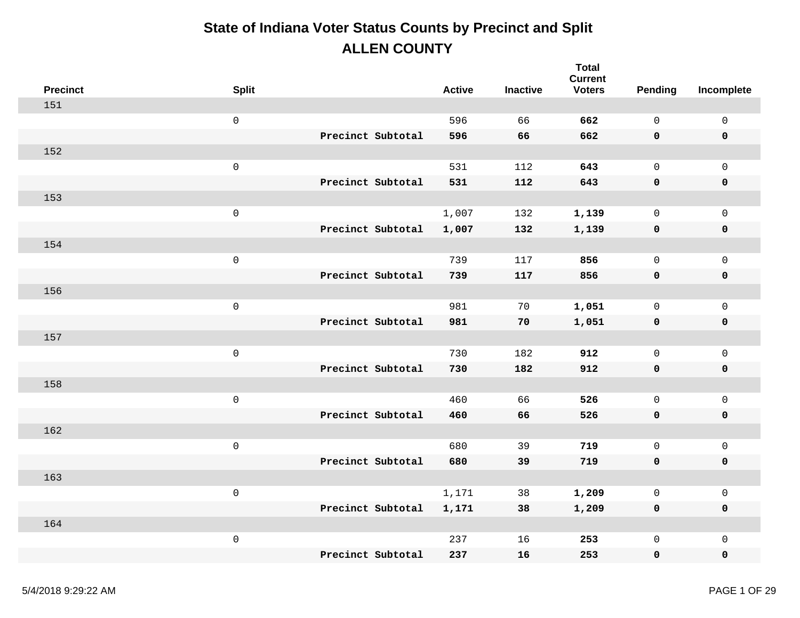| <b>Precinct</b> | <b>Split</b>        |                   | <b>Active</b> | <b>Inactive</b> | <b>Total</b><br><b>Current</b><br><b>Voters</b> | Pending      | Incomplete          |
|-----------------|---------------------|-------------------|---------------|-----------------|-------------------------------------------------|--------------|---------------------|
| 151             |                     |                   |               |                 |                                                 |              |                     |
|                 | $\mathsf 0$         |                   | 596           | 66              | 662                                             | $\mathbf 0$  | $\mathsf{O}\xspace$ |
|                 |                     | Precinct Subtotal | 596           | 66              | 662                                             | 0            | $\pmb{0}$           |
| 152             |                     |                   |               |                 |                                                 |              |                     |
|                 | $\mathsf 0$         |                   | 531           | 112             | 643                                             | $\mathsf{O}$ | $\mathbf 0$         |
|                 |                     | Precinct Subtotal | 531           | 112             | 643                                             | 0            | $\pmb{0}$           |
| 153             |                     |                   |               |                 |                                                 |              |                     |
|                 | $\mathsf 0$         |                   | 1,007         | 132             | 1,139                                           | $\mathsf{O}$ | $\mathsf{O}\xspace$ |
|                 |                     | Precinct Subtotal | 1,007         | 132             | 1,139                                           | 0            | $\pmb{0}$           |
| 154             |                     |                   |               |                 |                                                 |              |                     |
|                 | $\mathsf 0$         |                   | 739           | 117             | 856                                             | $\mathsf{O}$ | $\mathbf 0$         |
|                 |                     | Precinct Subtotal | 739           | 117             | 856                                             | 0            | $\pmb{0}$           |
| 156             |                     |                   |               |                 |                                                 |              |                     |
|                 | $\mathsf 0$         |                   | 981           | 70              | 1,051                                           | $\mathsf{O}$ | $\mathsf{O}\xspace$ |
|                 |                     | Precinct Subtotal | 981           | 70              | 1,051                                           | 0            | $\pmb{0}$           |
| 157             |                     |                   |               |                 |                                                 |              |                     |
|                 | $\mathsf{O}\xspace$ |                   | 730           | 182             | 912                                             | $\mathsf{O}$ | $\mathsf{O}\xspace$ |
|                 |                     | Precinct Subtotal | 730           | 182             | 912                                             | 0            | $\pmb{0}$           |
| 158             |                     |                   |               |                 |                                                 |              |                     |
|                 | $\mathsf 0$         |                   | 460           | 66              | 526                                             | $\mathsf{O}$ | $\mathsf{O}\xspace$ |
|                 |                     | Precinct Subtotal | 460           | 66              | 526                                             | 0            | $\pmb{0}$           |
| 162             |                     |                   |               |                 |                                                 |              |                     |
|                 | $\mathsf 0$         |                   | 680           | 39              | 719                                             | $\mathsf{O}$ | $\mathbf 0$         |
|                 |                     | Precinct Subtotal | 680           | 39              | 719                                             | $\mathbf 0$  | $\pmb{0}$           |
| 163             |                     |                   |               |                 |                                                 |              |                     |
|                 | $\mathsf 0$         |                   | 1,171         | 38              | 1,209                                           | $\mathsf{O}$ | $\mathsf{O}\xspace$ |
|                 |                     | Precinct Subtotal | 1,171         | 38              | 1,209                                           | 0            | $\pmb{0}$           |
| 164             |                     |                   |               |                 |                                                 |              |                     |
|                 | $\mathsf 0$         |                   | 237           | 16              | 253                                             | 0            | $\mathsf{O}\xspace$ |
|                 |                     | Precinct Subtotal | 237           | 16              | 253                                             | 0            | $\mathbf 0$         |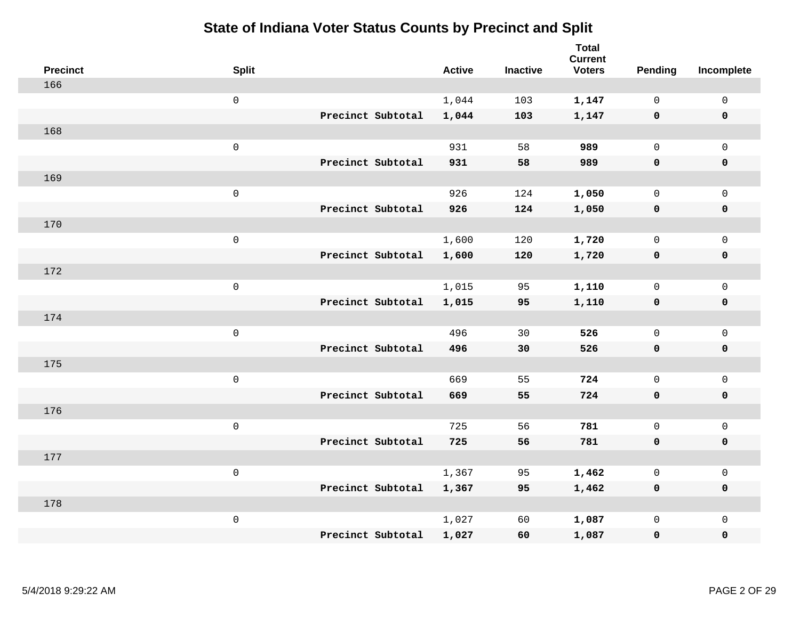| <b>Precinct</b> | <b>Split</b>        |                   | <b>Active</b> | <b>Inactive</b> | <b>Total</b><br><b>Current</b><br><b>Voters</b> | Pending      | Incomplete          |
|-----------------|---------------------|-------------------|---------------|-----------------|-------------------------------------------------|--------------|---------------------|
| 166             |                     |                   |               |                 |                                                 |              |                     |
|                 | $\mathbf 0$         |                   | 1,044         | 103             | 1,147                                           | $\mathbf 0$  | $\mathsf{O}$        |
|                 |                     | Precinct Subtotal | 1,044         | 103             | 1,147                                           | $\mathbf 0$  | $\pmb{0}$           |
| 168             |                     |                   |               |                 |                                                 |              |                     |
|                 | $\,0\,$             |                   | 931           | 58              | 989                                             | $\mathbf 0$  | $\mathsf{O}$        |
|                 |                     | Precinct Subtotal | 931           | 58              | 989                                             | 0            | 0                   |
| 169             |                     |                   |               |                 |                                                 |              |                     |
|                 | $\mathbf 0$         |                   | 926           | 124             | 1,050                                           | $\mathbf 0$  | $\mathsf{O}\xspace$ |
|                 |                     | Precinct Subtotal | 926           | 124             | 1,050                                           | $\mathbf 0$  | 0                   |
| 170             |                     |                   |               |                 |                                                 |              |                     |
|                 | $\mathsf{O}\xspace$ |                   | 1,600         | 120             | 1,720                                           | $\mathbf 0$  | $\mathsf{O}\xspace$ |
|                 |                     | Precinct Subtotal | 1,600         | 120             | 1,720                                           | 0            | 0                   |
| 172             |                     |                   |               |                 |                                                 |              |                     |
|                 | $\mathbf 0$         |                   | 1,015         | 95              | 1,110                                           | $\mathbf 0$  | $\mathsf{O}$        |
|                 |                     | Precinct Subtotal | 1,015         | 95              | 1,110                                           | $\mathbf 0$  | 0                   |
| 174             |                     |                   |               |                 |                                                 |              |                     |
|                 | $\mathsf{O}\xspace$ |                   | 496           | 30              | 526                                             | $\mathbf 0$  | $\mathsf{O}$        |
|                 |                     | Precinct Subtotal | 496           | 30              | 526                                             | 0            | 0                   |
| 175             |                     |                   |               |                 |                                                 |              |                     |
|                 | $\mathbf 0$         |                   | 669           | 55              | 724                                             | $\mathsf{O}$ | $\mathsf{O}$        |
|                 |                     | Precinct Subtotal | 669           | 55              | 724                                             | 0            | 0                   |
| 176             |                     |                   |               |                 |                                                 |              |                     |
|                 | $\mathbf 0$         |                   | 725           | 56              | 781                                             | $\mathsf{O}$ | $\mathsf{O}\xspace$ |
|                 |                     | Precinct Subtotal | 725           | 56              | 781                                             | $\mathbf 0$  | 0                   |
| 177             |                     |                   |               |                 |                                                 |              |                     |
|                 | $\mathbf 0$         |                   | 1,367         | 95              | 1,462                                           | 0            | $\mathsf 0$         |
|                 |                     | Precinct Subtotal | 1,367         | 95              | 1,462                                           | $\mathbf 0$  | 0                   |
| 178             |                     |                   |               |                 |                                                 |              |                     |
|                 | $\mathbf 0$         |                   | 1,027         | 60              | 1,087                                           | $\mathsf{O}$ | $\mathsf{O}$        |
|                 |                     | Precinct Subtotal | 1,027         | 60              | 1,087                                           | 0            | 0                   |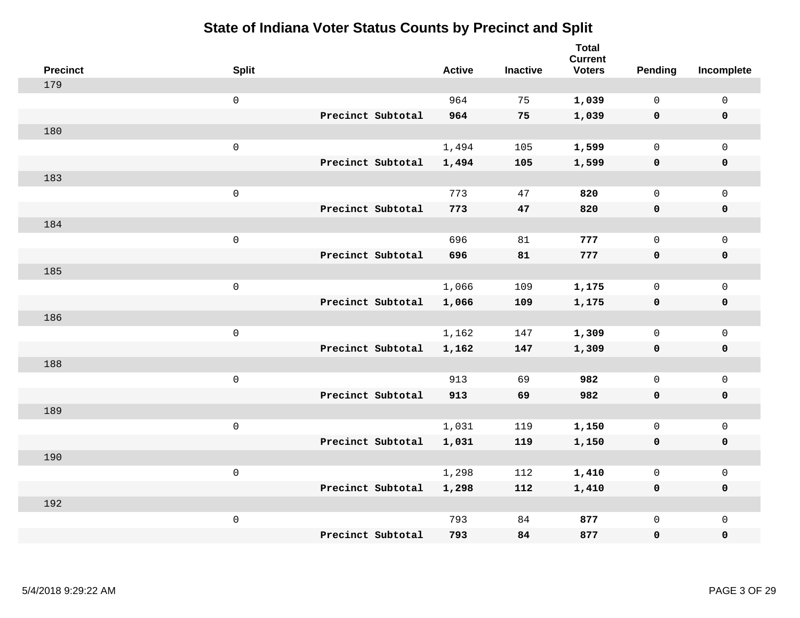| <b>Precinct</b> | <b>Split</b>        |                   | <b>Active</b> | <b>Inactive</b> | <b>Total</b><br><b>Current</b><br><b>Voters</b> | Pending      | Incomplete          |
|-----------------|---------------------|-------------------|---------------|-----------------|-------------------------------------------------|--------------|---------------------|
| 179             |                     |                   |               |                 |                                                 |              |                     |
|                 | $\mathsf{O}$        |                   | 964           | 75              | 1,039                                           | $\mathbf 0$  | $\mathsf{O}$        |
|                 |                     | Precinct Subtotal | 964           | 75              | 1,039                                           | $\mathbf 0$  | $\mathbf 0$         |
| 180             |                     |                   |               |                 |                                                 |              |                     |
|                 | $\mathsf{O}\xspace$ |                   | 1,494         | 105             | 1,599                                           | $\mathbf 0$  | $\mathsf{O}$        |
|                 |                     | Precinct Subtotal | 1,494         | 105             | 1,599                                           | $\mathbf 0$  | 0                   |
| 183             |                     |                   |               |                 |                                                 |              |                     |
|                 | $\mathsf 0$         |                   | 773           | 47              | 820                                             | $\mathbf 0$  | $\mathsf{O}\xspace$ |
|                 |                     | Precinct Subtotal | 773           | 47              | 820                                             | 0            | 0                   |
| 184             |                     |                   |               |                 |                                                 |              |                     |
|                 | $\mathsf 0$         |                   | 696           | 81              | 777                                             | $\mathbf 0$  | $\mathsf{O}\xspace$ |
|                 |                     | Precinct Subtotal | 696           | 81              | 777                                             | $\mathbf 0$  | 0                   |
| 185             |                     |                   |               |                 |                                                 |              |                     |
|                 | $\mathsf{O}\xspace$ |                   | 1,066         | 109             | 1,175                                           | $\mathbf 0$  | $\mathsf{O}$        |
|                 |                     | Precinct Subtotal | 1,066         | 109             | 1,175                                           | $\mathbf 0$  | 0                   |
| 186             |                     |                   |               |                 |                                                 |              |                     |
|                 | $\mathsf{O}\xspace$ |                   | 1,162         | 147             | 1,309                                           | $\mathsf{O}$ | $\mathsf{O}$        |
|                 |                     | Precinct Subtotal | 1,162         | 147             | 1,309                                           | 0            | 0                   |
| 188             |                     |                   |               |                 |                                                 |              |                     |
|                 | $\mathsf 0$         |                   | 913           | 69              | 982                                             | $\mathsf{O}$ | $\mathsf{O}$        |
|                 |                     | Precinct Subtotal | 913           | 69              | 982                                             | 0            | 0                   |
| 189             |                     |                   |               |                 |                                                 |              |                     |
|                 | $\mathsf 0$         |                   | 1,031         | 119             | 1,150                                           | $\mathsf{O}$ | $\mathsf{O}\xspace$ |
|                 |                     | Precinct Subtotal | 1,031         | 119             | 1,150                                           | 0            | 0                   |
| 190             |                     |                   |               |                 |                                                 |              |                     |
|                 | $\mathsf 0$         |                   | 1,298         | 112             | 1,410                                           | 0            | $\mathsf 0$         |
|                 |                     | Precinct Subtotal | 1,298         | 112             | 1,410                                           | 0            | 0                   |
| 192             |                     |                   |               |                 |                                                 |              |                     |
|                 | $\mathsf 0$         |                   | 793           | 84              | 877                                             | $\mathsf{O}$ | $\mathsf{O}$        |
|                 |                     | Precinct Subtotal | 793           | 84              | 877                                             | 0            | 0                   |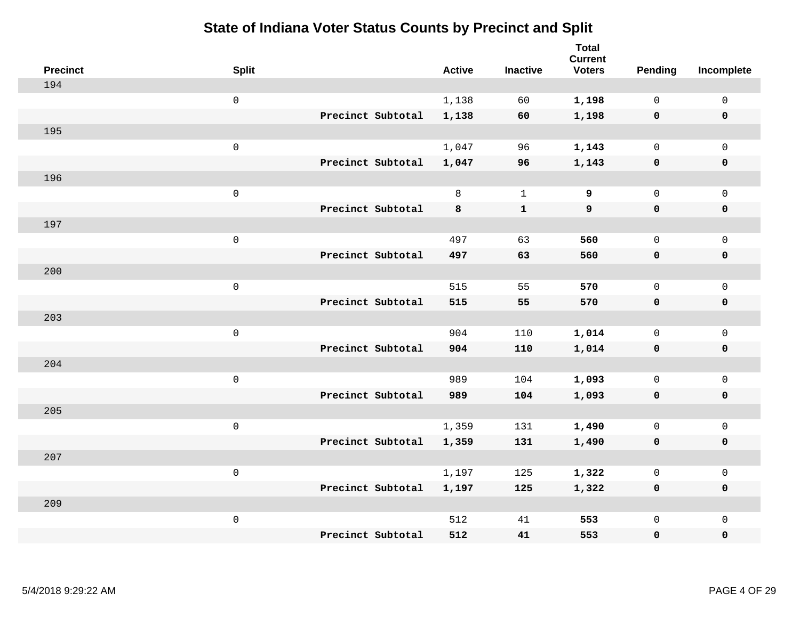| <b>Precinct</b> | <b>Split</b>        |                   | <b>Active</b> | <b>Inactive</b> | <b>Total</b><br><b>Current</b><br><b>Voters</b> | Pending      | Incomplete          |
|-----------------|---------------------|-------------------|---------------|-----------------|-------------------------------------------------|--------------|---------------------|
| 194             |                     |                   |               |                 |                                                 |              |                     |
|                 | $\mathsf{O}$        |                   | 1,138         | 60              | 1,198                                           | $\mathbf 0$  | $\mathsf{O}\xspace$ |
|                 |                     | Precinct Subtotal | 1,138         | 60              | 1,198                                           | $\mathbf 0$  | $\pmb{0}$           |
| 195             |                     |                   |               |                 |                                                 |              |                     |
|                 | $\mathsf{O}\xspace$ |                   | 1,047         | 96              | 1,143                                           | $\mathbf 0$  | $\mathsf{O}\xspace$ |
|                 |                     | Precinct Subtotal | 1,047         | 96              | 1,143                                           | $\mathbf 0$  | $\pmb{0}$           |
| 196             |                     |                   |               |                 |                                                 |              |                     |
|                 | $\mathbf 0$         |                   | 8             | $\mathbf 1$     | 9                                               | $\mathbf 0$  | $\mathsf{O}\xspace$ |
|                 |                     | Precinct Subtotal | 8             | $\mathbf{1}$    | 9                                               | 0            | 0                   |
| 197             |                     |                   |               |                 |                                                 |              |                     |
|                 | $\mathbf 0$         |                   | 497           | 63              | 560                                             | $\mathbf 0$  | $\mathsf{O}\xspace$ |
|                 |                     | Precinct Subtotal | 497           | 63              | 560                                             | $\mathbf 0$  | 0                   |
| 200             |                     |                   |               |                 |                                                 |              |                     |
|                 | $\mathbf 0$         |                   | 515           | 55              | 570                                             | $\mathbf 0$  | $\mathsf{O}\xspace$ |
|                 |                     | Precinct Subtotal | 515           | 55              | 570                                             | $\mathbf 0$  | 0                   |
| 203             |                     |                   |               |                 |                                                 |              |                     |
|                 | $\mathsf{O}\xspace$ |                   | 904           | 110             | 1,014                                           | $\mathbf 0$  | $\mathsf{O}\xspace$ |
|                 |                     | Precinct Subtotal | 904           | 110             | 1,014                                           | $\mathbf 0$  | 0                   |
| 204             |                     |                   |               |                 |                                                 |              |                     |
|                 | $\mathbf 0$         |                   | 989           | 104             | 1,093                                           | $\mathbf 0$  | $\mathsf{O}$        |
|                 |                     | Precinct Subtotal | 989           | 104             | 1,093                                           | $\mathbf 0$  | 0                   |
| 205             |                     |                   |               |                 |                                                 |              |                     |
|                 | $\mathsf{O}\xspace$ |                   | 1,359         | 131             | 1,490                                           | $\mathbf 0$  | $\mathsf{O}\xspace$ |
|                 |                     | Precinct Subtotal | 1,359         | 131             | 1,490                                           | 0            | 0                   |
| 207             |                     |                   |               |                 |                                                 |              |                     |
|                 | $\mathbf 0$         |                   | 1,197         | 125             | 1,322                                           | $\mathbf 0$  | $\mathsf 0$         |
|                 |                     | Precinct Subtotal | 1,197         | 125             | 1,322                                           | 0            | 0                   |
| 209             |                     |                   |               |                 |                                                 |              |                     |
|                 | $\mathbf 0$         |                   | 512           | 41              | 553                                             | $\mathsf{O}$ | $\mathsf{O}$        |
|                 |                     | Precinct Subtotal | 512           | 41              | 553                                             | 0            | $\pmb{0}$           |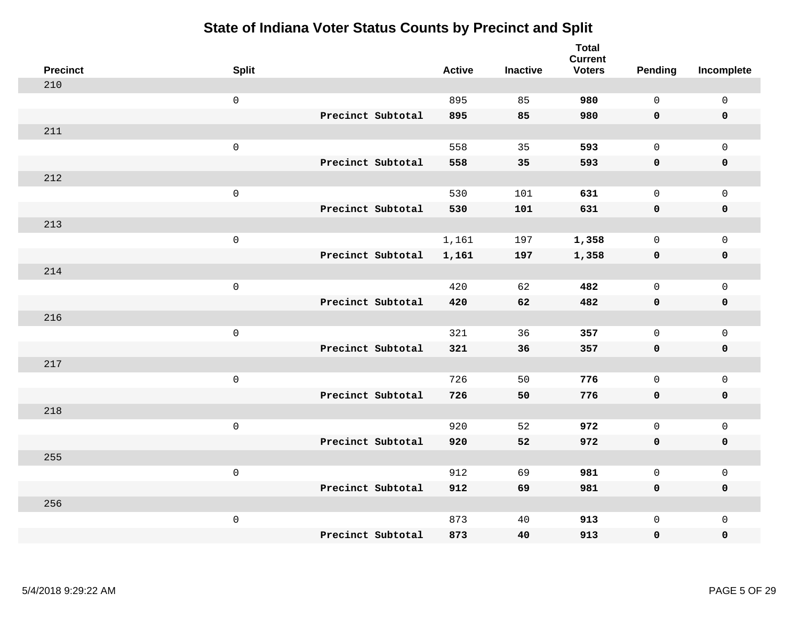| <b>Precinct</b> | <b>Split</b>        |                   | <b>Active</b> | <b>Inactive</b> | <b>Total</b><br><b>Current</b><br><b>Voters</b> | <b>Pending</b> | Incomplete          |
|-----------------|---------------------|-------------------|---------------|-----------------|-------------------------------------------------|----------------|---------------------|
| 210             |                     |                   |               |                 |                                                 |                |                     |
|                 | $\mathsf{O}\xspace$ |                   | 895           | 85              | 980                                             | $\mathbf 0$    | $\mathsf 0$         |
|                 |                     | Precinct Subtotal | 895           | 85              | 980                                             | $\mathbf 0$    | $\mathbf 0$         |
| 211             |                     |                   |               |                 |                                                 |                |                     |
|                 | $\mathsf 0$         |                   | 558           | 35              | 593                                             | $\mathsf{O}$   | $\mathbf 0$         |
|                 |                     | Precinct Subtotal | 558           | 35              | 593                                             | $\mathbf 0$    | $\mathbf 0$         |
| 212             |                     |                   |               |                 |                                                 |                |                     |
|                 | $\mathsf 0$         |                   | 530           | 101             | 631                                             | $\mathbf 0$    | $\mathbf 0$         |
|                 |                     | Precinct Subtotal | 530           | 101             | 631                                             | $\mathbf 0$    | $\mathbf 0$         |
| 213             |                     |                   |               |                 |                                                 |                |                     |
|                 | $\mathbf 0$         |                   | 1,161         | 197             | 1,358                                           | $\mathbf 0$    | $\mathsf 0$         |
|                 |                     | Precinct Subtotal | 1,161         | 197             | 1,358                                           | $\mathbf 0$    | $\mathbf 0$         |
| 214             |                     |                   |               |                 |                                                 |                |                     |
|                 | $\mathsf 0$         |                   | 420           | 62              | 482                                             | $\Omega$       | $\mathbf{0}$        |
|                 |                     | Precinct Subtotal | 420           | 62              | 482                                             | $\mathbf 0$    | $\mathbf 0$         |
| 216             |                     |                   |               |                 |                                                 |                |                     |
|                 | $\mathbf 0$         |                   | 321           | 36              | 357                                             | $\mathsf{O}$   | $\mathsf{O}\xspace$ |
|                 |                     | Precinct Subtotal | 321           | 36              | 357                                             | $\mathbf 0$    | $\mathbf 0$         |
| 217             |                     |                   |               |                 |                                                 |                |                     |
|                 | $\mathbf 0$         |                   | 726           | 50              | 776                                             | $\mathbf 0$    | $\mathsf{O}\xspace$ |
|                 |                     | Precinct Subtotal | 726           | 50              | 776                                             | $\mathbf 0$    | $\mathbf 0$         |
| 218             |                     |                   |               |                 |                                                 |                |                     |
|                 | $\mathbf 0$         |                   | 920           | 52              | 972                                             | $\mathbf 0$    | $\mathsf{O}\xspace$ |
|                 |                     | Precinct Subtotal | 920           | 52              | 972                                             | $\mathbf 0$    | $\mathbf 0$         |
| 255             |                     |                   |               |                 |                                                 |                |                     |
|                 | $\mathsf 0$         |                   | 912           | 69              | 981                                             | $\mathsf{O}$   | $\mathsf 0$         |
|                 |                     | Precinct Subtotal | 912           | 69              | 981                                             | $\mathbf 0$    | $\mathbf 0$         |
| 256             |                     |                   |               |                 |                                                 |                |                     |
|                 | $\mathbf 0$         |                   | 873           | 40              | 913                                             | $\mathsf{O}$   | $\mathbf 0$         |
|                 |                     | Precinct Subtotal | 873           | 40              | 913                                             | $\mathbf 0$    | $\pmb{0}$           |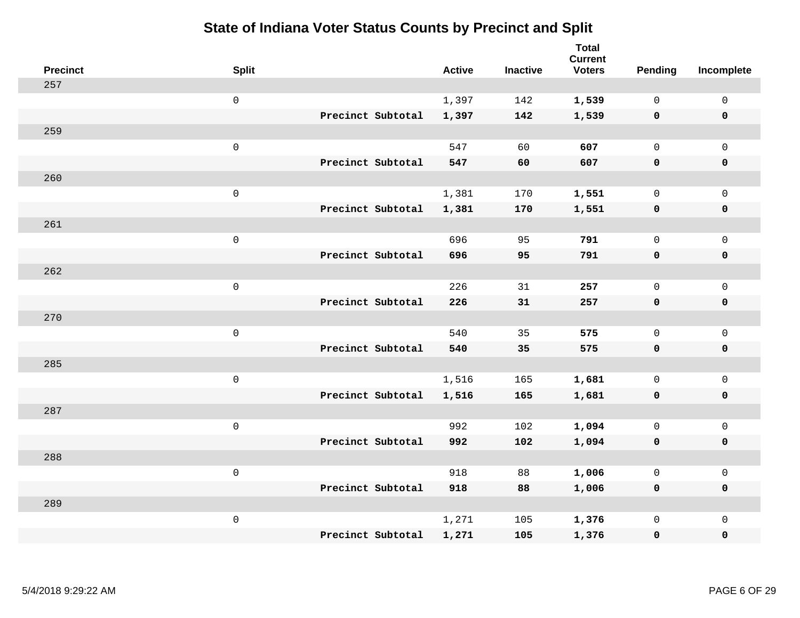| <b>Precinct</b> | <b>Split</b>        |                   | <b>Active</b> | <b>Inactive</b> | <b>Total</b><br><b>Current</b><br><b>Voters</b> | Pending      | Incomplete   |
|-----------------|---------------------|-------------------|---------------|-----------------|-------------------------------------------------|--------------|--------------|
| 257             |                     |                   |               |                 |                                                 |              |              |
|                 | $\mathsf 0$         |                   | 1,397         | 142             | 1,539                                           | 0            | $\mathsf 0$  |
|                 |                     | Precinct Subtotal | 1,397         | 142             | 1,539                                           | $\mathbf 0$  | $\mathbf 0$  |
| 259             |                     |                   |               |                 |                                                 |              |              |
|                 | $\mathsf{O}\xspace$ |                   | 547           | 60              | 607                                             | $\mathbf{0}$ | $\mathbf 0$  |
|                 |                     | Precinct Subtotal | 547           | 60              | 607                                             | $\mathbf 0$  | $\mathbf 0$  |
| 260             |                     |                   |               |                 |                                                 |              |              |
|                 | $\mathsf{O}\xspace$ |                   | 1,381         | 170             | 1,551                                           | $\mathbf{0}$ | $\mathbf{0}$ |
|                 |                     | Precinct Subtotal | 1,381         | 170             | 1,551                                           | $\mathbf 0$  | $\pmb{0}$    |
| 261             |                     |                   |               |                 |                                                 |              |              |
|                 | $\mathsf 0$         |                   | 696           | 95              | 791                                             | 0            | $\mathsf{O}$ |
|                 |                     | Precinct Subtotal | 696           | 95              | 791                                             | $\mathbf 0$  | $\pmb{0}$    |
| 262             |                     |                   |               |                 |                                                 |              |              |
|                 | $\mathsf{O}\xspace$ |                   | 226           | 31              | 257                                             | $\mathbf{0}$ | $\mathsf{O}$ |
|                 |                     | Precinct Subtotal | 226           | 31              | 257                                             | 0            | $\mathbf 0$  |
| 270             |                     |                   |               |                 |                                                 |              |              |
|                 | $\mathsf{O}\xspace$ |                   | 540           | 35              | 575                                             | $\mathbf 0$  | $\mathbf 0$  |
|                 |                     | Precinct Subtotal | 540           | 35              | 575                                             | $\mathbf 0$  | $\mathbf 0$  |
| 285             |                     |                   |               |                 |                                                 |              |              |
|                 | $\mathsf 0$         |                   | 1,516         | 165             | 1,681                                           | 0            | $\mathbf 0$  |
|                 |                     | Precinct Subtotal | 1,516         | 165             | 1,681                                           | 0            | 0            |
| 287             |                     |                   |               |                 |                                                 |              |              |
|                 | $\mathsf 0$         |                   | 992           | 102             | 1,094                                           | $\mathsf{O}$ | $\mathsf{O}$ |
|                 |                     | Precinct Subtotal | 992           | 102             | 1,094                                           | 0            | $\mathbf 0$  |
| 288             |                     |                   |               |                 |                                                 |              |              |
|                 | $\mathsf 0$         |                   | 918           | 88              | 1,006                                           | 0            | $\mathsf{O}$ |
|                 |                     | Precinct Subtotal | 918           | 88              | 1,006                                           | 0            | $\mathbf 0$  |
| 289             |                     |                   |               |                 |                                                 |              |              |
|                 | $\mathbf 0$         |                   | 1,271         | 105             | 1,376                                           | 0            | $\mathsf{O}$ |
|                 |                     | Precinct Subtotal | 1,271         | 105             | 1,376                                           | 0            | $\mathbf 0$  |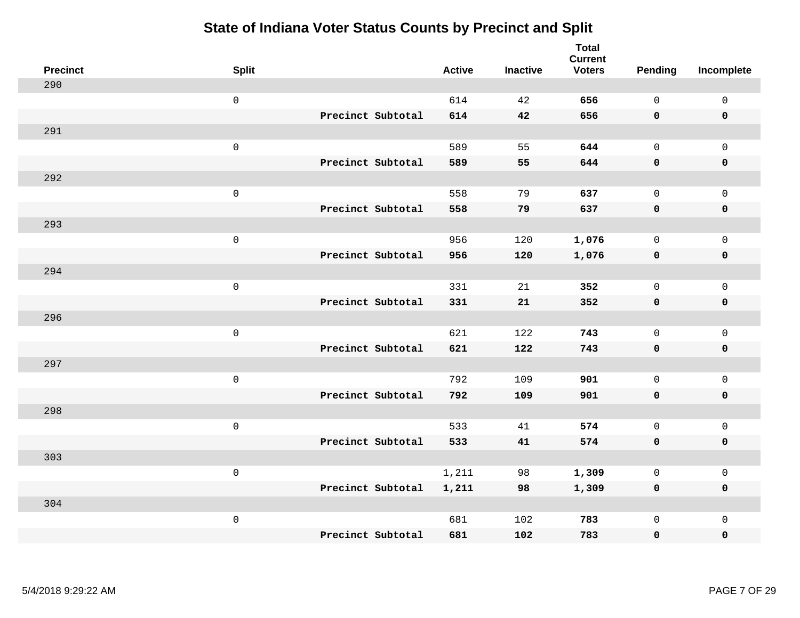| <b>Precinct</b> | <b>Split</b>        |                   | <b>Active</b> | <b>Inactive</b> | <b>Total</b><br><b>Current</b><br><b>Voters</b> | Pending      | Incomplete          |
|-----------------|---------------------|-------------------|---------------|-----------------|-------------------------------------------------|--------------|---------------------|
| 290             |                     |                   |               |                 |                                                 |              |                     |
|                 | $\mathsf 0$         |                   | 614           | 42              | 656                                             | $\mathbf 0$  | $\mathsf 0$         |
|                 |                     | Precinct Subtotal | 614           | 42              | 656                                             | $\mathbf 0$  | $\mathbf 0$         |
| 291             |                     |                   |               |                 |                                                 |              |                     |
|                 | $\mathsf{O}\xspace$ |                   | 589           | 55              | 644                                             | $\mathsf{O}$ | $\mathsf{O}$        |
|                 |                     | Precinct Subtotal | 589           | 55              | 644                                             | $\mathbf 0$  | 0                   |
| 292             |                     |                   |               |                 |                                                 |              |                     |
|                 | $\mathsf 0$         |                   | 558           | 79              | 637                                             | $\mathbf{0}$ | $\mathsf{O}$        |
|                 |                     | Precinct Subtotal | 558           | 79              | 637                                             | $\mathbf 0$  | 0                   |
| 293             |                     |                   |               |                 |                                                 |              |                     |
|                 | $\mathsf{O}\xspace$ |                   | 956           | 120             | 1,076                                           | $\mathbf{0}$ | $\mathsf{O}\xspace$ |
|                 |                     | Precinct Subtotal | 956           | 120             | 1,076                                           | $\mathbf 0$  | $\pmb{0}$           |
| 294             |                     |                   |               |                 |                                                 |              |                     |
|                 | $\mathsf 0$         |                   | 331           | 21              | 352                                             | $\mathbf{0}$ | $\mathsf 0$         |
|                 |                     | Precinct Subtotal | 331           | 21              | 352                                             | 0            | $\mathbf 0$         |
| 296             |                     |                   |               |                 |                                                 |              |                     |
|                 | $\mathsf{O}\xspace$ |                   | 621           | 122             | 743                                             | $\mathbf 0$  | $\mathsf{O}$        |
|                 |                     | Precinct Subtotal | 621           | 122             | 743                                             | 0            | 0                   |
| 297             |                     |                   |               |                 |                                                 |              |                     |
|                 | $\mathsf{O}\xspace$ |                   | 792           | 109             | 901                                             | $\mathbf 0$  | $\mathsf{O}\xspace$ |
|                 |                     | Precinct Subtotal | 792           | 109             | 901                                             | 0            | 0                   |
| 298             |                     |                   |               |                 |                                                 |              |                     |
|                 | $\mathsf 0$         |                   | 533           | 41              | 574                                             | $\mathbf 0$  | $\mathsf{O}\xspace$ |
|                 |                     | Precinct Subtotal | 533           | 41              | 574                                             | 0            | 0                   |
| 303             |                     |                   |               |                 |                                                 |              |                     |
|                 | $\mathsf 0$         |                   | 1,211         | 98              | 1,309                                           | 0            | $\mathsf 0$         |
|                 |                     | Precinct Subtotal | 1,211         | 98              | 1,309                                           | 0            | 0                   |
| 304             |                     |                   |               |                 |                                                 |              |                     |
|                 | $\mathsf 0$         |                   | 681           | 102             | 783                                             | $\mathsf{O}$ | $\mathsf{O}$        |
|                 |                     | Precinct Subtotal | 681           | 102             | 783                                             | 0            | 0                   |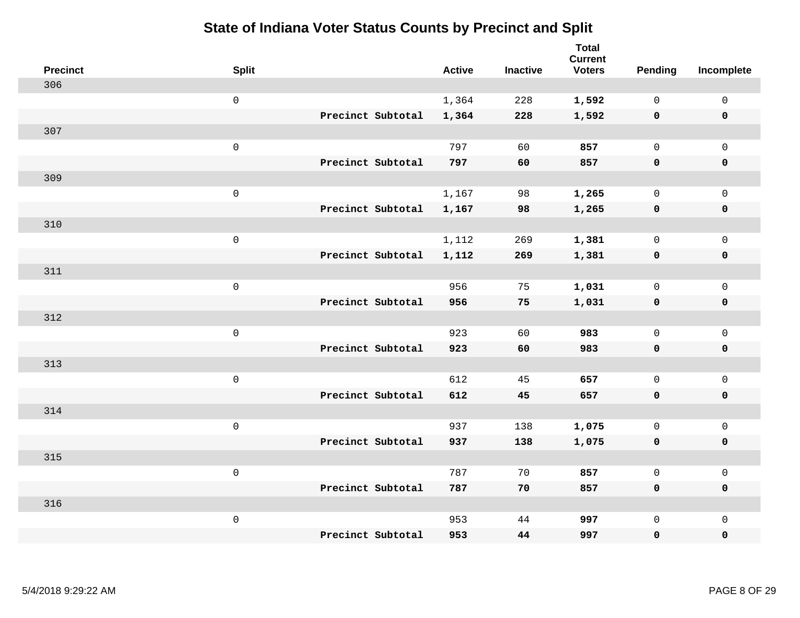| <b>Precinct</b> | <b>Split</b>        |                   | <b>Active</b> | <b>Inactive</b> | <b>Total</b><br><b>Current</b><br><b>Voters</b> | Pending      | Incomplete          |
|-----------------|---------------------|-------------------|---------------|-----------------|-------------------------------------------------|--------------|---------------------|
| 306             |                     |                   |               |                 |                                                 |              |                     |
|                 | $\mathsf{O}$        |                   | 1,364         | 228             | 1,592                                           | $\mathbf 0$  | $\mathsf{O}\xspace$ |
|                 |                     | Precinct Subtotal | 1,364         | 228             | 1,592                                           | $\mathbf 0$  | $\pmb{0}$           |
| 307             |                     |                   |               |                 |                                                 |              |                     |
|                 | $\mathsf 0$         |                   | 797           | 60              | 857                                             | $\mathbf 0$  | $\mathbf{0}$        |
|                 |                     | Precinct Subtotal | 797           | 60              | 857                                             | $\mathbf 0$  | $\pmb{0}$           |
| 309             |                     |                   |               |                 |                                                 |              |                     |
|                 | $\mathsf 0$         |                   | 1,167         | 98              | 1,265                                           | $\mathsf{O}$ | $\mathsf{O}$        |
|                 |                     | Precinct Subtotal | 1,167         | 98              | 1,265                                           | $\mathbf 0$  | 0                   |
| 310             |                     |                   |               |                 |                                                 |              |                     |
|                 | $\mathsf{O}\xspace$ |                   | 1,112         | 269             | 1,381                                           | $\mathbf 0$  | $\mathsf{O}\xspace$ |
|                 |                     | Precinct Subtotal | 1,112         | 269             | 1,381                                           | $\mathbf 0$  | 0                   |
| 311             |                     |                   |               |                 |                                                 |              |                     |
|                 | $\mathbf 0$         |                   | 956           | 75              | 1,031                                           | $\mathbf 0$  | $\mathsf{O}\xspace$ |
|                 |                     | Precinct Subtotal | 956           | 75              | 1,031                                           | 0            | 0                   |
| 312             |                     |                   |               |                 |                                                 |              |                     |
|                 | $\mathsf{O}\xspace$ |                   | 923           | 60              | 983                                             | $\mathbf 0$  | $\mathsf{O}\xspace$ |
|                 |                     | Precinct Subtotal | 923           | 60              | 983                                             | $\mathbf 0$  | 0                   |
| 313             |                     |                   |               |                 |                                                 |              |                     |
|                 | $\mathbf 0$         |                   | 612           | 45              | 657                                             | $\mathbf 0$  | $\mathsf{O}$        |
|                 |                     | Precinct Subtotal | 612           | 45              | 657                                             | 0            | 0                   |
| 314             |                     |                   |               |                 |                                                 |              |                     |
|                 | $\mathsf{O}\xspace$ |                   | 937           | 138             | 1,075                                           | 0            | $\mathsf{O}\xspace$ |
|                 |                     | Precinct Subtotal | 937           | 138             | 1,075                                           | 0            | 0                   |
| 315             |                     |                   |               |                 |                                                 |              |                     |
|                 | $\mathsf 0$         |                   | 787           | 70              | 857                                             | $\mathsf{O}$ | $\mathsf{O}$        |
|                 |                     | Precinct Subtotal | 787           | 70              | 857                                             | 0            | 0                   |
| 316             |                     |                   |               |                 |                                                 |              |                     |
|                 | $\mathbf 0$         |                   | 953           | 44              | 997                                             | $\mathsf{O}$ | $\mathsf{O}$        |
|                 |                     | Precinct Subtotal | 953           | 44              | 997                                             | 0            | $\pmb{0}$           |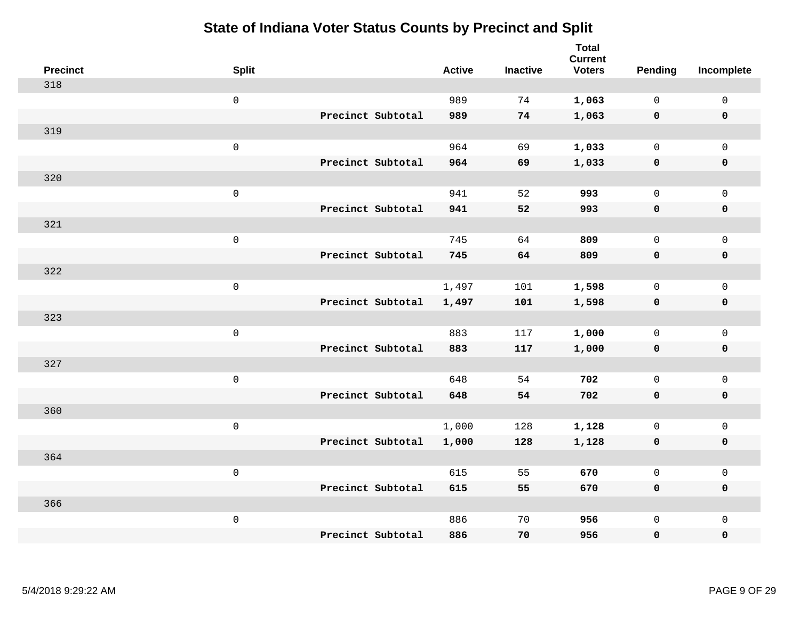| <b>Precinct</b> | <b>Split</b>        |                   | <b>Active</b> | <b>Inactive</b> | <b>Total</b><br><b>Current</b><br><b>Voters</b> | Pending      | Incomplete          |
|-----------------|---------------------|-------------------|---------------|-----------------|-------------------------------------------------|--------------|---------------------|
| 318             |                     |                   |               |                 |                                                 |              |                     |
|                 | $\mathsf{O}$        |                   | 989           | 74              | 1,063                                           | $\mathbf 0$  | $\mathsf{O}\xspace$ |
|                 |                     | Precinct Subtotal | 989           | 74              | 1,063                                           | $\mathbf 0$  | $\pmb{0}$           |
| 319             |                     |                   |               |                 |                                                 |              |                     |
|                 | $\mathsf 0$         |                   | 964           | 69              | 1,033                                           | $\mathbf 0$  | $\mathbf{0}$        |
|                 |                     | Precinct Subtotal | 964           | 69              | 1,033                                           | $\mathbf 0$  | $\pmb{0}$           |
| 320             |                     |                   |               |                 |                                                 |              |                     |
|                 | $\mathsf 0$         |                   | 941           | 52              | 993                                             | $\mathbf 0$  | $\mathsf{O}$        |
|                 |                     | Precinct Subtotal | 941           | 52              | 993                                             | 0            | 0                   |
| 321             |                     |                   |               |                 |                                                 |              |                     |
|                 | $\mathsf{O}\xspace$ |                   | 745           | 64              | 809                                             | $\mathsf{O}$ | $\mathsf{O}\xspace$ |
|                 |                     | Precinct Subtotal | 745           | 64              | 809                                             | $\mathbf 0$  | 0                   |
| 322             |                     |                   |               |                 |                                                 |              |                     |
|                 | $\mathbf 0$         |                   | 1,497         | 101             | 1,598                                           | $\mathsf{O}$ | $\mathsf{O}\xspace$ |
|                 |                     | Precinct Subtotal | 1,497         | 101             | 1,598                                           | 0            | 0                   |
| 323             |                     |                   |               |                 |                                                 |              |                     |
|                 | $\mathsf{O}\xspace$ |                   | 883           | 117             | 1,000                                           | $\mathsf{O}$ | $\mathsf{O}\xspace$ |
|                 |                     | Precinct Subtotal | 883           | 117             | 1,000                                           | $\mathbf 0$  | 0                   |
| 327             |                     |                   |               |                 |                                                 |              |                     |
|                 | $\mathbf 0$         |                   | 648           | 54              | 702                                             | $\mathbf 0$  | $\mathsf{O}$        |
|                 |                     | Precinct Subtotal | 648           | 54              | 702                                             | 0            | 0                   |
| 360             |                     |                   |               |                 |                                                 |              |                     |
|                 | $\mathsf{O}\xspace$ |                   | 1,000         | 128             | 1,128                                           | $\mathsf{O}$ | $\mathsf{O}\xspace$ |
|                 |                     | Precinct Subtotal | 1,000         | 128             | 1,128                                           | 0            | 0                   |
| 364             |                     |                   |               |                 |                                                 |              |                     |
|                 | $\mathsf 0$         |                   | 615           | 55              | 670                                             | $\mathsf{O}$ | $\mathsf{O}\xspace$ |
|                 |                     | Precinct Subtotal | 615           | 55              | 670                                             | 0            | 0                   |
| 366             |                     |                   |               |                 |                                                 |              |                     |
|                 | $\mathbf 0$         |                   | 886           | 70              | 956                                             | $\mathsf{O}$ | $\mathsf{O}$        |
|                 |                     | Precinct Subtotal | 886           | 70              | 956                                             | 0            | $\pmb{0}$           |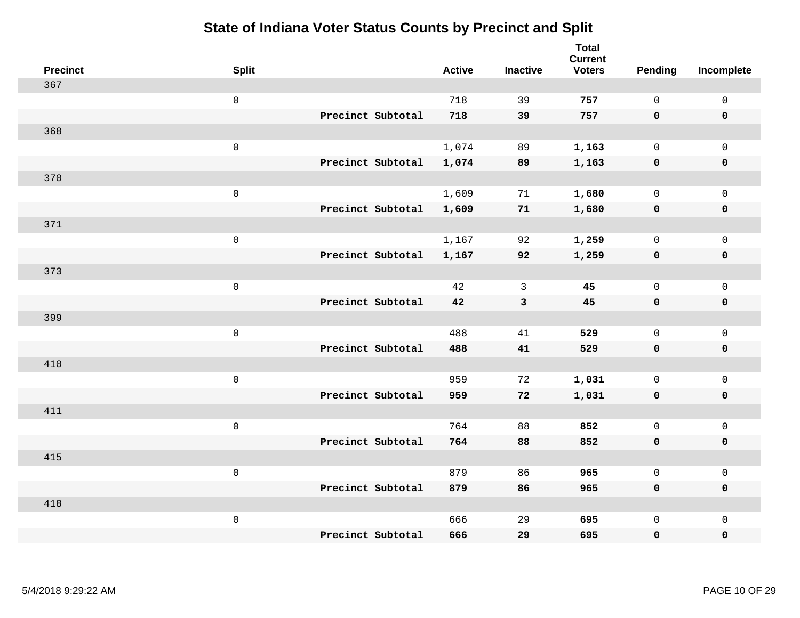| <b>Precinct</b> | <b>Split</b>        |                   | <b>Active</b> | <b>Inactive</b> | <b>Total</b><br><b>Current</b><br><b>Voters</b> | Pending      | Incomplete          |
|-----------------|---------------------|-------------------|---------------|-----------------|-------------------------------------------------|--------------|---------------------|
| 367             |                     |                   |               |                 |                                                 |              |                     |
|                 | $\mathsf{O}\xspace$ |                   | 718           | 39              | 757                                             | $\mathsf{O}$ | $\mathsf 0$         |
|                 |                     | Precinct Subtotal | 718           | 39              | 757                                             | $\mathbf 0$  | $\mathbf 0$         |
| 368             |                     |                   |               |                 |                                                 |              |                     |
|                 | $\mathsf{O}\xspace$ |                   | 1,074         | 89              | 1,163                                           | $\mathbf 0$  | $\mathbf 0$         |
|                 |                     | Precinct Subtotal | 1,074         | 89              | 1,163                                           | $\mathbf 0$  | $\mathbf 0$         |
| 370             |                     |                   |               |                 |                                                 |              |                     |
|                 | $\mathsf 0$         |                   | 1,609         | 71              | 1,680                                           | $\mathbf 0$  | $\mathsf{O}\xspace$ |
|                 |                     | Precinct Subtotal | 1,609         | 71              | 1,680                                           | $\mathbf 0$  | $\mathbf 0$         |
| 371             |                     |                   |               |                 |                                                 |              |                     |
|                 | $\mathbf 0$         |                   | 1,167         | 92              | 1,259                                           | $\mathsf{O}$ | $\mathbf 0$         |
|                 |                     | Precinct Subtotal | 1,167         | 92              | 1,259                                           | $\mathbf 0$  | $\mathbf 0$         |
| 373             |                     |                   |               |                 |                                                 |              |                     |
|                 | $\mathbf 0$         |                   | 42            | 3               | 45                                              | $\mathbf 0$  | $\mathsf{O}\xspace$ |
|                 |                     | Precinct Subtotal | 42            | $\mathbf{3}$    | 45                                              | $\mathbf 0$  | $\mathbf 0$         |
| 399             |                     |                   |               |                 |                                                 |              |                     |
|                 | $\mathbf 0$         |                   | 488           | 41              | 529                                             | $\mathbf 0$  | $\mathsf{O}\xspace$ |
|                 |                     | Precinct Subtotal | 488           | 41              | 529                                             | $\mathbf 0$  | $\mathbf 0$         |
| 410             |                     |                   |               |                 |                                                 |              |                     |
|                 | $\mathbf 0$         |                   | 959           | 72              | 1,031                                           | 0            | $\mathbf 0$         |
|                 |                     | Precinct Subtotal | 959           | 72              | 1,031                                           | 0            | 0                   |
| 411             |                     |                   |               |                 |                                                 |              |                     |
|                 | $\mathbf 0$         |                   | 764           | 88              | 852                                             | $\mathbf 0$  | $\mathbf 0$         |
|                 |                     | Precinct Subtotal | 764           | 88              | 852                                             | 0            | $\pmb{0}$           |
| 415             |                     |                   |               |                 |                                                 |              |                     |
|                 | $\mathbf 0$         |                   | 879           | 86              | 965                                             | $\mathbf 0$  | $\mathbf 0$         |
|                 |                     | Precinct Subtotal | 879           | 86              | 965                                             | $\mathbf 0$  | $\mathbf 0$         |
| 418             |                     |                   |               |                 |                                                 |              |                     |
|                 | $\mathbf 0$         |                   | 666           | 29              | 695                                             | $\mathsf{O}$ | $\mathbf 0$         |
|                 |                     | Precinct Subtotal | 666           | 29              | 695                                             | 0            | $\pmb{0}$           |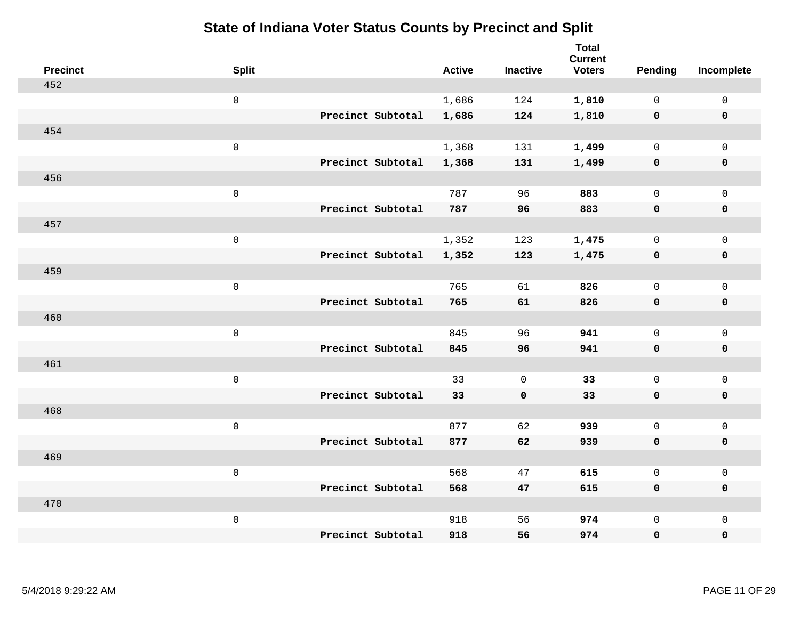| <b>Precinct</b> | <b>Split</b>        |                   | <b>Active</b> | <b>Inactive</b> | <b>Total</b><br><b>Current</b><br><b>Voters</b> | Pending      | Incomplete          |
|-----------------|---------------------|-------------------|---------------|-----------------|-------------------------------------------------|--------------|---------------------|
| 452             |                     |                   |               |                 |                                                 |              |                     |
|                 | $\mathbf 0$         |                   | 1,686         | 124             | 1,810                                           | $\mathbf 0$  | $\mathsf{O}$        |
|                 |                     | Precinct Subtotal | 1,686         | 124             | 1,810                                           | $\mathbf 0$  | $\mathbf 0$         |
| 454             |                     |                   |               |                 |                                                 |              |                     |
|                 | $\mathsf{O}\xspace$ |                   | 1,368         | 131             | 1,499                                           | $\mathsf{O}$ | $\mathsf{O}$        |
|                 |                     | Precinct Subtotal | 1,368         | 131             | 1,499                                           | 0            | 0                   |
| 456             |                     |                   |               |                 |                                                 |              |                     |
|                 | $\mathbf 0$         |                   | 787           | 96              | 883                                             | $\mathbf 0$  | $\mathsf{O}\xspace$ |
|                 |                     | Precinct Subtotal | 787           | 96              | 883                                             | $\mathbf 0$  | 0                   |
| 457             |                     |                   |               |                 |                                                 |              |                     |
|                 | $\mathbf 0$         |                   | 1,352         | 123             | 1,475                                           | $\mathbf 0$  | $\mathsf{O}\xspace$ |
|                 |                     | Precinct Subtotal | 1,352         | 123             | 1,475                                           | $\mathbf 0$  | 0                   |
| 459             |                     |                   |               |                 |                                                 |              |                     |
|                 | $\mathbf 0$         |                   | 765           | 61              | 826                                             | $\mathbf{0}$ | $\mathbf 0$         |
|                 |                     | Precinct Subtotal | 765           | 61              | 826                                             | 0            | 0                   |
| 460             |                     |                   |               |                 |                                                 |              |                     |
|                 | $\mathbf 0$         |                   | 845           | 96              | 941                                             | $\mathsf{O}$ | $\mathsf{O}$        |
|                 |                     | Precinct Subtotal | 845           | 96              | 941                                             | 0            | 0                   |
| 461             |                     |                   |               |                 |                                                 |              |                     |
|                 | $\mathbf 0$         |                   | 33            | $\mathbf 0$     | 33                                              | $\mathsf{O}$ | $\mathsf{O}$        |
|                 |                     | Precinct Subtotal | 33            | $\mathbf 0$     | 33                                              | 0            | 0                   |
| 468             |                     |                   |               |                 |                                                 |              |                     |
|                 | $\mathbf 0$         |                   | 877           | 62              | 939                                             | $\mathbf 0$  | $\mathsf{O}\xspace$ |
|                 |                     | Precinct Subtotal | 877           | 62              | 939                                             | 0            | 0                   |
| 469             |                     |                   |               |                 |                                                 |              |                     |
|                 | $\mathbf 0$         |                   | 568           | 47              | 615                                             | $\mathbf 0$  | $\mathbf 0$         |
|                 |                     | Precinct Subtotal | 568           | 47              | 615                                             | 0            | 0                   |
| 470             |                     |                   |               |                 |                                                 |              |                     |
|                 | $\mathbf 0$         |                   | 918           | 56              | 974                                             | $\mathsf{O}$ | $\mathsf{O}$        |
|                 |                     | Precinct Subtotal | 918           | 56              | 974                                             | 0            | 0                   |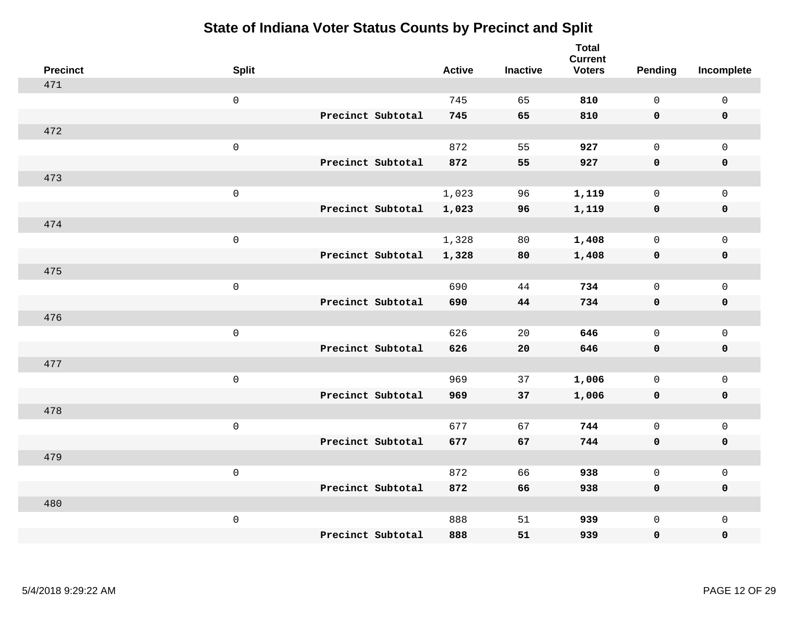| <b>Precinct</b> | <b>Split</b>        |                   | <b>Active</b> | <b>Inactive</b> | <b>Total</b><br><b>Current</b><br><b>Voters</b> | Pending      | Incomplete          |
|-----------------|---------------------|-------------------|---------------|-----------------|-------------------------------------------------|--------------|---------------------|
| 471             |                     |                   |               |                 |                                                 |              |                     |
|                 | $\mathsf 0$         |                   | 745           | 65              | 810                                             | $\mathbf{0}$ | $\mathsf{O}\xspace$ |
|                 |                     | Precinct Subtotal | 745           | 65              | 810                                             | $\mathbf 0$  | $\mathbf 0$         |
| 472             |                     |                   |               |                 |                                                 |              |                     |
|                 | $\mathsf 0$         |                   | 872           | 55              | 927                                             | $\mathbf 0$  | $\mathsf{O}$        |
|                 |                     | Precinct Subtotal | 872           | 55              | 927                                             | $\mathbf 0$  | 0                   |
| 473             |                     |                   |               |                 |                                                 |              |                     |
|                 | $\mathsf 0$         |                   | 1,023         | 96              | 1,119                                           | $\mathbf 0$  | $\mathsf{O}$        |
|                 |                     | Precinct Subtotal | 1,023         | 96              | 1,119                                           | $\mathbf 0$  | 0                   |
| 474             |                     |                   |               |                 |                                                 |              |                     |
|                 | $\mathsf 0$         |                   | 1,328         | 80              | 1,408                                           | $\mathbf 0$  | $\mathsf{O}\xspace$ |
|                 |                     | Precinct Subtotal | 1,328         | 80              | 1,408                                           | $\mathbf 0$  | $\pmb{0}$           |
| 475             |                     |                   |               |                 |                                                 |              |                     |
|                 | $\mathsf 0$         |                   | 690           | 44              | 734                                             | $\mathbf 0$  | $\mathsf{O}\xspace$ |
|                 |                     | Precinct Subtotal | 690           | 44              | 734                                             | 0            | $\mathbf 0$         |
| 476             |                     |                   |               |                 |                                                 |              |                     |
|                 | $\,0\,$             |                   | 626           | 20              | 646                                             | $\mathsf{O}$ | $\mathsf{O}\xspace$ |
|                 |                     | Precinct Subtotal | 626           | 20              | 646                                             | $\mathbf 0$  | 0                   |
| 477             |                     |                   |               |                 |                                                 |              |                     |
|                 | $\mathbf 0$         |                   | 969           | 37              | 1,006                                           | $\mathbf 0$  | $\mathsf{O}\xspace$ |
|                 |                     | Precinct Subtotal | 969           | 37              | 1,006                                           | 0            | 0                   |
| 478             |                     |                   |               |                 |                                                 |              |                     |
|                 | $\mathsf{O}\xspace$ |                   | 677           | 67              | 744                                             | $\mathbf 0$  | $\mathsf{O}\xspace$ |
|                 |                     | Precinct Subtotal | 677           | 67              | 744                                             | 0            | 0                   |
| 479             |                     |                   |               |                 |                                                 |              |                     |
|                 | $\mathbf 0$         |                   | 872           | 66              | 938                                             | $\mathsf{O}$ | $\mathsf{O}\xspace$ |
|                 |                     | Precinct Subtotal | 872           | 66              | 938                                             | 0            | 0                   |
| 480             |                     |                   |               |                 |                                                 |              |                     |
|                 | $\mathbf 0$         |                   | 888           | 51              | 939                                             | $\mathsf{O}$ | $\mathsf{O}$        |
|                 |                     | Precinct Subtotal | 888           | 51              | 939                                             | 0            | 0                   |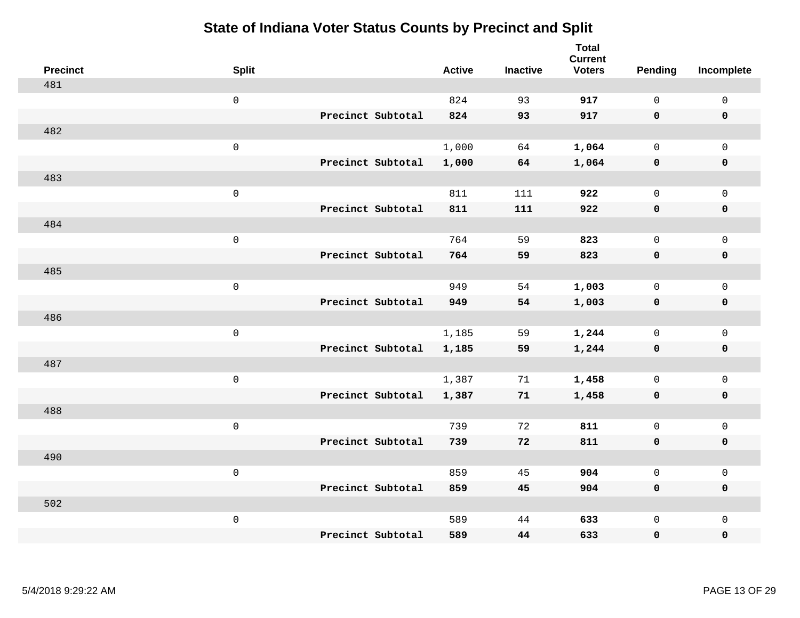| <b>Precinct</b> | <b>Split</b>        |                   | <b>Active</b> | <b>Inactive</b> | <b>Total</b><br><b>Current</b><br><b>Voters</b> | <b>Pending</b> | Incomplete          |
|-----------------|---------------------|-------------------|---------------|-----------------|-------------------------------------------------|----------------|---------------------|
| 481             |                     |                   |               |                 |                                                 |                |                     |
|                 | $\mathsf{O}\xspace$ |                   | 824           | 93              | 917                                             | $\mathsf{O}$   | $\mathsf{O}\xspace$ |
|                 |                     | Precinct Subtotal | 824           | 93              | 917                                             | $\mathbf 0$    | $\mathbf 0$         |
| 482             |                     |                   |               |                 |                                                 |                |                     |
|                 | $\mathsf{O}\xspace$ |                   | 1,000         | 64              | 1,064                                           | $\mathbf 0$    | $\mathsf{O}$        |
|                 |                     | Precinct Subtotal | 1,000         | 64              | 1,064                                           | $\mathbf 0$    | 0                   |
| 483             |                     |                   |               |                 |                                                 |                |                     |
|                 | $\mathsf 0$         |                   | 811           | 111             | 922                                             | $\mathbf 0$    | $\mathsf{O}\xspace$ |
|                 |                     | Precinct Subtotal | 811           | 111             | 922                                             | 0              | $\pmb{0}$           |
| 484             |                     |                   |               |                 |                                                 |                |                     |
|                 | $\mathsf 0$         |                   | 764           | 59              | 823                                             | $\mathbf 0$    | $\mathsf{O}$        |
|                 |                     | Precinct Subtotal | 764           | 59              | 823                                             | 0              | 0                   |
| 485             |                     |                   |               |                 |                                                 |                |                     |
|                 | $\mathsf{O}\xspace$ |                   | 949           | 54              | 1,003                                           | $\mathbf 0$    | $\mathsf{O}\xspace$ |
|                 |                     | Precinct Subtotal | 949           | 54              | 1,003                                           | 0              | 0                   |
| 486             |                     |                   |               |                 |                                                 |                |                     |
|                 | $\mathsf 0$         |                   | 1,185         | 59              | 1,244                                           | $\mathbf 0$    | $\mathsf{O}\xspace$ |
|                 |                     | Precinct Subtotal | 1,185         | 59              | 1,244                                           | $\mathbf 0$    | 0                   |
| 487             |                     |                   |               |                 |                                                 |                |                     |
|                 | $\mathsf 0$         |                   | 1,387         | 71              | 1,458                                           | $\mathsf{O}$   | $\mathsf{O}$        |
|                 |                     | Precinct Subtotal | 1,387         | 71              | 1,458                                           | 0              | 0                   |
| 488             |                     |                   |               |                 |                                                 |                |                     |
|                 | $\mathsf 0$         |                   | 739           | 72              | 811                                             | $\mathsf{O}$   | $\mathsf{O}$        |
|                 |                     | Precinct Subtotal | 739           | 72              | 811                                             | 0              | 0                   |
| 490             |                     |                   |               |                 |                                                 |                |                     |
|                 | $\mathsf 0$         |                   | 859           | 45              | 904                                             | $\mathbf 0$    | $\mathsf{O}$        |
|                 |                     | Precinct Subtotal | 859           | 45              | 904                                             | 0              | 0                   |
| 502             |                     |                   |               |                 |                                                 |                |                     |
|                 | $\mathsf 0$         |                   | 589           | 44              | 633                                             | $\mathsf{O}$   | $\mathsf{O}$        |
|                 |                     | Precinct Subtotal | 589           | 44              | 633                                             | 0              | 0                   |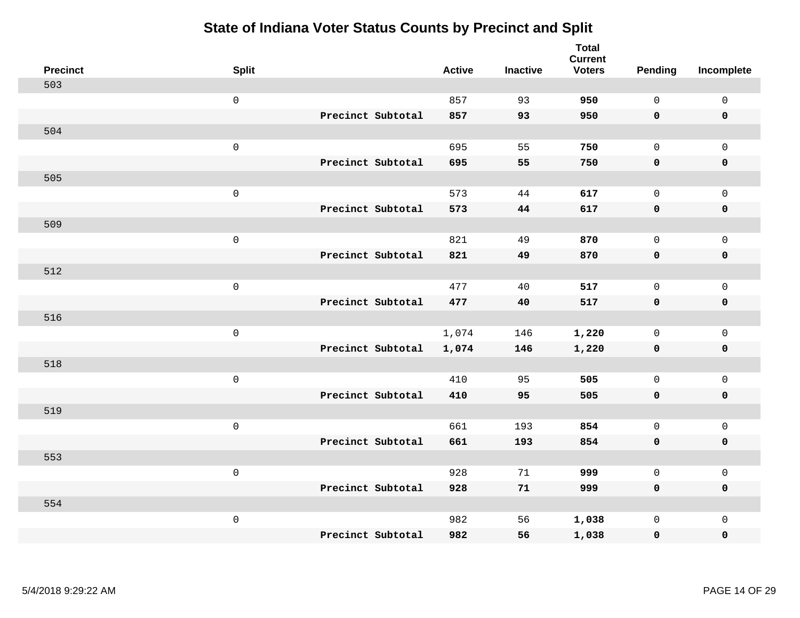| <b>Precinct</b> | <b>Split</b>        |                   | <b>Active</b> | <b>Inactive</b> | <b>Total</b><br><b>Current</b><br><b>Voters</b> | <b>Pending</b> | Incomplete          |
|-----------------|---------------------|-------------------|---------------|-----------------|-------------------------------------------------|----------------|---------------------|
| 503             |                     |                   |               |                 |                                                 |                |                     |
|                 | $\mathsf 0$         |                   | 857           | 93              | 950                                             | $\mathbf{0}$   | $\mathbf{0}$        |
|                 |                     | Precinct Subtotal | 857           | 93              | 950                                             | $\mathbf 0$    | $\mathbf 0$         |
| 504             |                     |                   |               |                 |                                                 |                |                     |
|                 | $\mathsf 0$         |                   | 695           | 55              | 750                                             | $\mathbf{0}$   | $\mathbf 0$         |
|                 |                     | Precinct Subtotal | 695           | 55              | 750                                             | $\mathbf 0$    | $\pmb{0}$           |
| 505             |                     |                   |               |                 |                                                 |                |                     |
|                 | $\mathsf 0$         |                   | 573           | 44              | 617                                             | $\mathbf{0}$   | $\mathbf{0}$        |
|                 |                     | Precinct Subtotal | 573           | 44              | 617                                             | 0              | $\pmb{0}$           |
| 509             |                     |                   |               |                 |                                                 |                |                     |
|                 | $\mathsf{O}\xspace$ |                   | 821           | 49              | 870                                             | $\mathbf{0}$   | $\mathbf 0$         |
|                 |                     | Precinct Subtotal | 821           | 49              | 870                                             | $\mathbf 0$    | $\pmb{0}$           |
| 512             |                     |                   |               |                 |                                                 |                |                     |
|                 | $\mathsf 0$         |                   | 477           | 40              | 517                                             | $\mathbf{0}$   | $\mathbf{0}$        |
|                 |                     | Precinct Subtotal | 477           | 40              | 517                                             | 0              | $\mathbf 0$         |
| 516             |                     |                   |               |                 |                                                 |                |                     |
|                 | $\mathsf{O}\xspace$ |                   | 1,074         | 146             | 1,220                                           | 0              | $\mathsf{O}$        |
|                 |                     | Precinct Subtotal | 1,074         | 146             | 1,220                                           | $\mathbf 0$    | $\pmb{0}$           |
| 518             |                     |                   |               |                 |                                                 |                |                     |
|                 | $\mathsf{O}\xspace$ |                   | 410           | 95              | 505                                             | $\mathbf{0}$   | $\mathsf{O}\xspace$ |
|                 |                     | Precinct Subtotal | 410           | 95              | 505                                             | 0              | $\mathbf 0$         |
| 519             |                     |                   |               |                 |                                                 |                |                     |
|                 | $\mathsf{O}\xspace$ |                   | 661           | 193             | 854                                             | $\mathbf 0$    | $\mathbf 0$         |
|                 |                     | Precinct Subtotal | 661           | 193             | 854                                             | $\mathbf 0$    | $\mathbf 0$         |
| 553             |                     |                   |               |                 |                                                 |                |                     |
|                 | $\mathsf 0$         |                   | 928           | 71              | 999                                             | 0              | $\mathsf{O}$        |
|                 |                     | Precinct Subtotal | 928           | 71              | 999                                             | 0              | 0                   |
| 554             |                     |                   |               |                 |                                                 |                |                     |
|                 | $\mathsf 0$         |                   | 982           | 56              | 1,038                                           | 0              | $\mathbf 0$         |
|                 |                     | Precinct Subtotal | 982           | 56              | 1,038                                           | 0              | 0                   |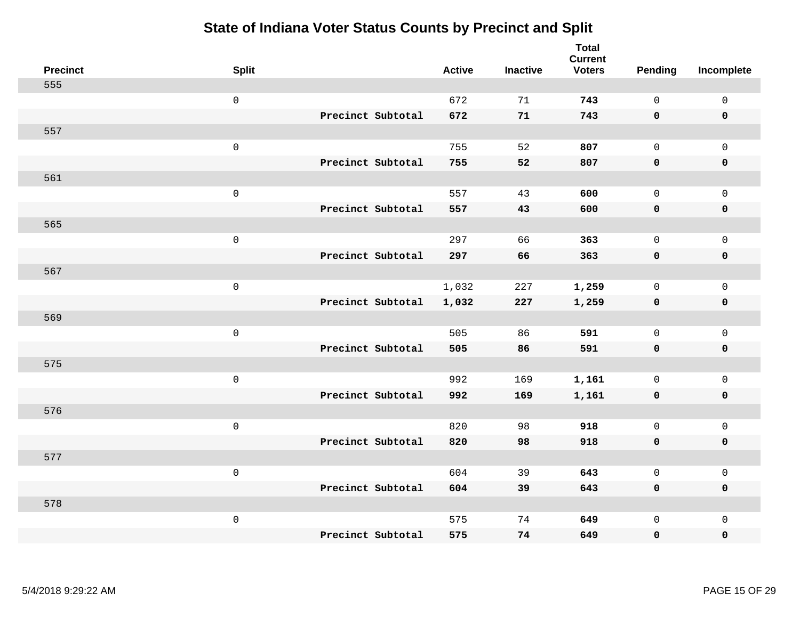| <b>Precinct</b> | <b>Split</b>        |                   | <b>Active</b> | <b>Inactive</b> | <b>Total</b><br><b>Current</b><br><b>Voters</b> | <b>Pending</b> | Incomplete          |
|-----------------|---------------------|-------------------|---------------|-----------------|-------------------------------------------------|----------------|---------------------|
| 555             |                     |                   |               |                 |                                                 |                |                     |
|                 | $\mathsf 0$         |                   | 672           | 71              | 743                                             | $\mathbf 0$    | $\mathsf{O}\xspace$ |
|                 |                     | Precinct Subtotal | 672           | 71              | 743                                             | $\mathbf 0$    | $\mathbf 0$         |
| 557             |                     |                   |               |                 |                                                 |                |                     |
|                 | $\mathsf{O}$        |                   | 755           | 52              | 807                                             | $\mathbf{0}$   | $\mathsf{O}$        |
|                 |                     | Precinct Subtotal | 755           | 52              | 807                                             | $\mathbf 0$    | 0                   |
| 561             |                     |                   |               |                 |                                                 |                |                     |
|                 | $\mathsf 0$         |                   | 557           | 43              | 600                                             | $\mathbf 0$    | $\mathsf{O}\xspace$ |
|                 |                     | Precinct Subtotal | 557           | 43              | 600                                             | 0              | $\pmb{0}$           |
| 565             |                     |                   |               |                 |                                                 |                |                     |
|                 | $\mathsf{O}\xspace$ |                   | 297           | 66              | 363                                             | $\mathsf{O}$   | $\mathsf{O}$        |
|                 |                     | Precinct Subtotal | 297           | 66              | 363                                             | 0              | 0                   |
| 567             |                     |                   |               |                 |                                                 |                |                     |
|                 | $\mathbf 0$         |                   | 1,032         | 227             | 1,259                                           | $\mathbf 0$    | $\mathsf{O}$        |
|                 |                     | Precinct Subtotal | 1,032         | 227             | 1,259                                           | 0              | 0                   |
| 569             |                     |                   |               |                 |                                                 |                |                     |
|                 | $\mathsf{O}\xspace$ |                   | 505           | 86              | 591                                             | $\mathbf 0$    | $\mathsf{O}$        |
|                 |                     | Precinct Subtotal | 505           | 86              | 591                                             | 0              | 0                   |
| 575             |                     |                   |               |                 |                                                 |                |                     |
|                 | $\mathbf 0$         |                   | 992           | 169             | 1,161                                           | $\mathbf 0$    | $\mathsf{O}$        |
|                 |                     | Precinct Subtotal | 992           | 169             | 1,161                                           | 0              | 0                   |
| 576             |                     |                   |               |                 |                                                 |                |                     |
|                 | $\mathbf 0$         |                   | 820           | 98              | 918                                             | $\mathbf{0}$   | $\mathsf{O}$        |
|                 |                     | Precinct Subtotal | 820           | 98              | 918                                             | 0              | 0                   |
| 577             |                     |                   |               |                 |                                                 |                |                     |
|                 | $\mathbf 0$         |                   | 604           | 39              | 643                                             | $\mathbf 0$    | $\mathsf{O}$        |
|                 |                     | Precinct Subtotal | 604           | 39              | 643                                             | 0              | 0                   |
| 578             |                     |                   |               |                 |                                                 |                |                     |
|                 | $\mathbf 0$         |                   | 575           | 74              | 649                                             | $\mathsf{O}$   | $\mathsf{O}$        |
|                 |                     | Precinct Subtotal | 575           | 74              | 649                                             | 0              | 0                   |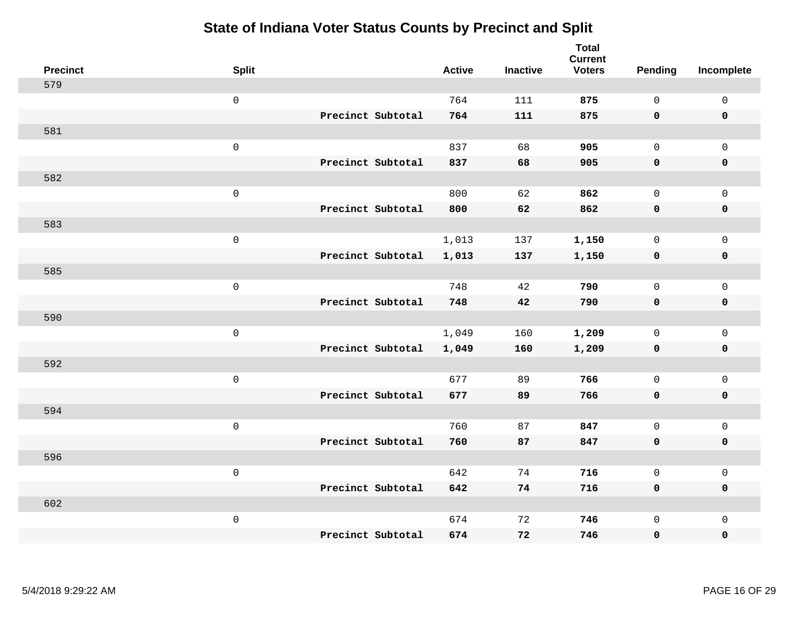| <b>Precinct</b> | <b>Split</b>        |                   | <b>Active</b> | <b>Inactive</b> | <b>Total</b><br><b>Current</b><br><b>Voters</b> | <b>Pending</b> | Incomplete          |
|-----------------|---------------------|-------------------|---------------|-----------------|-------------------------------------------------|----------------|---------------------|
| 579             |                     |                   |               |                 |                                                 |                |                     |
|                 | $\mathsf{O}\xspace$ |                   | 764           | 111             | 875                                             | $\mathbf 0$    | $\mathbf 0$         |
|                 |                     | Precinct Subtotal | 764           | 111             | 875                                             | $\mathbf 0$    | $\mathbf 0$         |
| 581             |                     |                   |               |                 |                                                 |                |                     |
|                 | $\mathbf 0$         |                   | 837           | 68              | 905                                             | $\mathbf 0$    | $\mathbf 0$         |
|                 |                     | Precinct Subtotal | 837           | 68              | 905                                             | $\mathbf 0$    | $\pmb{0}$           |
| 582             |                     |                   |               |                 |                                                 |                |                     |
|                 | $\mathsf 0$         |                   | 800           | 62              | 862                                             | $\mathbf 0$    | $\mathbf 0$         |
|                 |                     | Precinct Subtotal | 800           | 62              | 862                                             | $\mathbf 0$    | $\mathbf 0$         |
| 583             |                     |                   |               |                 |                                                 |                |                     |
|                 | $\mathbf 0$         |                   | 1,013         | 137             | 1,150                                           | $\mathbf 0$    | $\mathbf 0$         |
|                 |                     | Precinct Subtotal | 1,013         | 137             | 1,150                                           | $\mathbf 0$    | $\pmb{0}$           |
| 585             |                     |                   |               |                 |                                                 |                |                     |
|                 | $\mathsf 0$         |                   | 748           | 42              | 790                                             | $\Omega$       | $\mathbf{0}$        |
|                 |                     | Precinct Subtotal | 748           | 42              | 790                                             | $\mathbf 0$    | $\mathbf 0$         |
| 590             |                     |                   |               |                 |                                                 |                |                     |
|                 | $\mathbf 0$         |                   | 1,049         | 160             | 1,209                                           | $\mathbf 0$    | $\mathbf 0$         |
|                 |                     | Precinct Subtotal | 1,049         | 160             | 1,209                                           | 0              | $\mathbf 0$         |
| 592             |                     |                   |               |                 |                                                 |                |                     |
|                 | $\mathbf 0$         |                   | 677           | 89              | 766                                             | $\mathbf 0$    | $\mathsf{O}\xspace$ |
|                 |                     | Precinct Subtotal | 677           | 89              | 766                                             | $\mathbf 0$    | $\mathbf 0$         |
| 594             |                     |                   |               |                 |                                                 |                |                     |
|                 | $\mathbf 0$         |                   | 760           | 87              | 847                                             | $\mathbf 0$    | $\mathsf{O}\xspace$ |
|                 |                     | Precinct Subtotal | 760           | 87              | 847                                             | $\mathbf 0$    | $\mathbf 0$         |
| 596             |                     |                   |               |                 |                                                 |                |                     |
|                 | $\mathbf 0$         |                   | 642           | 74              | 716                                             | 0              | $\mathsf 0$         |
|                 |                     | Precinct Subtotal | 642           | 74              | 716                                             | $\mathbf 0$    | $\mathbf 0$         |
| 602             |                     |                   |               |                 |                                                 |                |                     |
|                 | $\mathbf 0$         |                   | 674           | 72              | 746                                             | $\mathbf 0$    | $\mathbf 0$         |
|                 |                     | Precinct Subtotal | 674           | 72              | 746                                             | $\mathbf 0$    | $\pmb{0}$           |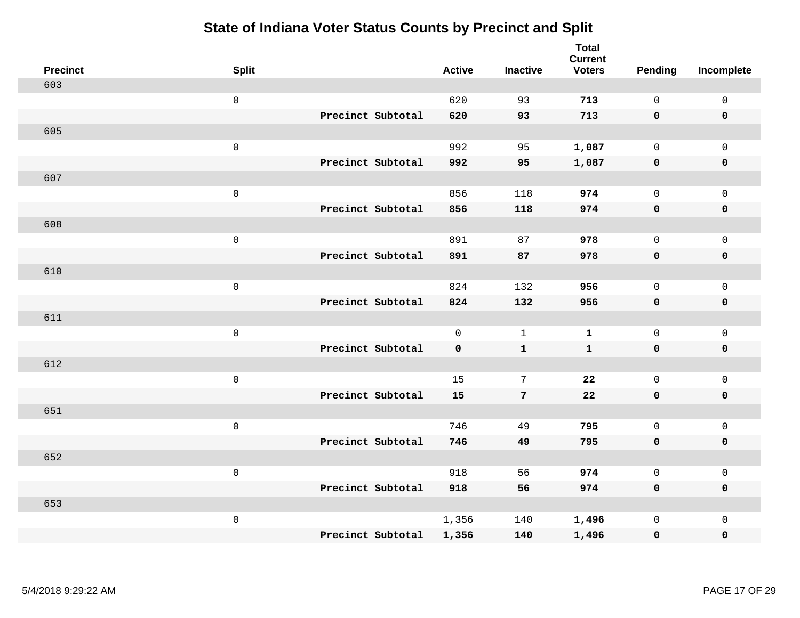| <b>Precinct</b> | <b>Split</b>        |                   | <b>Active</b> | <b>Inactive</b> | <b>Total</b><br><b>Current</b><br><b>Voters</b> | <b>Pending</b> | Incomplete          |
|-----------------|---------------------|-------------------|---------------|-----------------|-------------------------------------------------|----------------|---------------------|
| 603             |                     |                   |               |                 |                                                 |                |                     |
|                 | $\mathsf{O}\xspace$ |                   | 620           | 93              | 713                                             | $\mathbf 0$    | $\mathsf 0$         |
|                 |                     | Precinct Subtotal | 620           | 93              | 713                                             | $\mathbf 0$    | $\mathbf 0$         |
| 605             |                     |                   |               |                 |                                                 |                |                     |
|                 | $\mathbf 0$         |                   | 992           | 95              | 1,087                                           | $\mathsf{O}$   | $\mathbf 0$         |
|                 |                     | Precinct Subtotal | 992           | 95              | 1,087                                           | $\mathbf 0$    | $\pmb{0}$           |
| 607             |                     |                   |               |                 |                                                 |                |                     |
|                 | $\mathsf 0$         |                   | 856           | 118             | 974                                             | $\mathbf 0$    | $\mathsf{O}\xspace$ |
|                 |                     | Precinct Subtotal | 856           | 118             | 974                                             | $\mathbf 0$    | $\mathbf 0$         |
| 608             |                     |                   |               |                 |                                                 |                |                     |
|                 | $\mathbf 0$         |                   | 891           | 87              | 978                                             | $\mathbf 0$    | $\mathbf 0$         |
|                 |                     | Precinct Subtotal | 891           | 87              | 978                                             | $\mathbf 0$    | $\mathbf 0$         |
| 610             |                     |                   |               |                 |                                                 |                |                     |
|                 | $\mathbf 0$         |                   | 824           | 132             | 956                                             | $\Omega$       | $\mathbf{0}$        |
|                 |                     | Precinct Subtotal | 824           | 132             | 956                                             | $\mathbf 0$    | $\mathbf 0$         |
| 611             |                     |                   |               |                 |                                                 |                |                     |
|                 | $\mathbf 0$         |                   | $\mathbf 0$   | $\mathbf{1}$    | $\mathbf 1$                                     | $\mathsf{O}$   | $\mathsf{O}\xspace$ |
|                 |                     | Precinct Subtotal | 0             | $\mathbf{1}$    | $\mathbf{1}$                                    | $\mathbf 0$    | $\mathbf 0$         |
| 612             |                     |                   |               |                 |                                                 |                |                     |
|                 | $\mathbf 0$         |                   | 15            | 7               | 22                                              | $\mathbf 0$    | $\mathsf{O}\xspace$ |
|                 |                     | Precinct Subtotal | 15            | $7\phantom{.0}$ | 22                                              | $\mathbf 0$    | $\mathbf 0$         |
| 651             |                     |                   |               |                 |                                                 |                |                     |
|                 | $\mathbf 0$         |                   | 746           | 49              | 795                                             | $\mathbf 0$    | $\mathsf{O}\xspace$ |
|                 |                     | Precinct Subtotal | 746           | 49              | 795                                             | $\mathbf 0$    | $\mathbf 0$         |
| 652             |                     |                   |               |                 |                                                 |                |                     |
|                 | $\mathbf 0$         |                   | 918           | 56              | 974                                             | $\mathsf{O}$   | $\mathsf 0$         |
|                 |                     | Precinct Subtotal | 918           | 56              | 974                                             | $\mathbf 0$    | $\mathbf 0$         |
| 653             |                     |                   |               |                 |                                                 |                |                     |
|                 | $\mathbf 0$         |                   | 1,356         | 140             | 1,496                                           | $\mathsf{O}$   | $\mathbf 0$         |
|                 |                     | Precinct Subtotal | 1,356         | 140             | 1,496                                           | 0              | $\pmb{0}$           |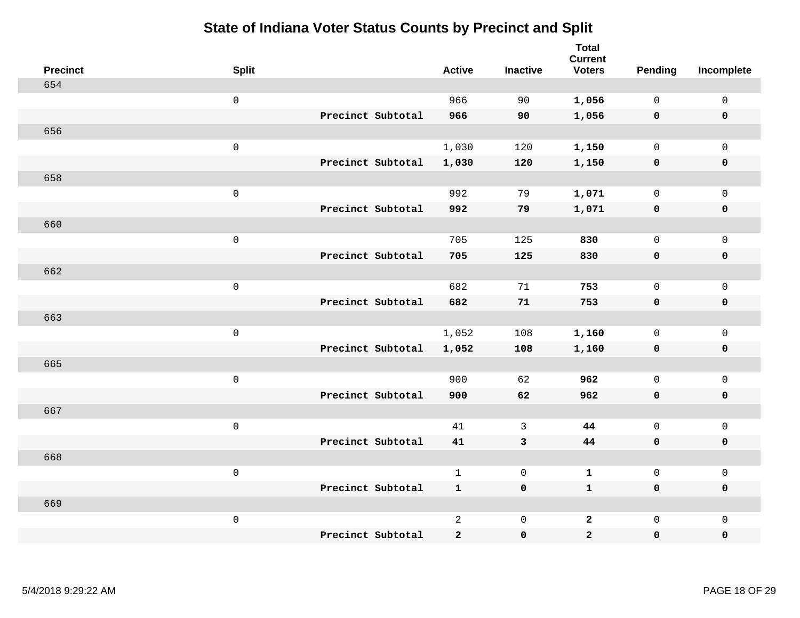| <b>Precinct</b> | <b>Split</b> |                   | <b>Active</b>  | <b>Inactive</b> | <b>Total</b><br><b>Current</b><br><b>Voters</b> | <b>Pending</b> | Incomplete          |
|-----------------|--------------|-------------------|----------------|-----------------|-------------------------------------------------|----------------|---------------------|
| 654             |              |                   |                |                 |                                                 |                |                     |
|                 | $\mathsf 0$  |                   | 966            | 90              | 1,056                                           | $\mathbf 0$    | $\mathsf 0$         |
|                 |              | Precinct Subtotal | 966            | 90              | 1,056                                           | $\mathbf 0$    | $\mathbf 0$         |
| 656             |              |                   |                |                 |                                                 |                |                     |
|                 | $\mathsf 0$  |                   | 1,030          | 120             | 1,150                                           | $\mathsf{O}$   | $\mathbf 0$         |
|                 |              | Precinct Subtotal | 1,030          | 120             | 1,150                                           | $\mathbf 0$    | $\pmb{0}$           |
| 658             |              |                   |                |                 |                                                 |                |                     |
|                 | $\mathsf 0$  |                   | 992            | 79              | 1,071                                           | $\mathbf 0$    | $\mathsf{O}\xspace$ |
|                 |              | Precinct Subtotal | 992            | 79              | 1,071                                           | $\mathbf 0$    | $\mathbf 0$         |
| 660             |              |                   |                |                 |                                                 |                |                     |
|                 | $\mathsf 0$  |                   | 705            | 125             | 830                                             | $\mathbf 0$    | $\mathsf{O}\xspace$ |
|                 |              | Precinct Subtotal | 705            | 125             | 830                                             | $\mathbf 0$    | $\pmb{0}$           |
| 662             |              |                   |                |                 |                                                 |                |                     |
|                 | $\mathsf 0$  |                   | 682            | 71              | 753                                             | $\mathbf 0$    | $\mathbf{0}$        |
|                 |              | Precinct Subtotal | 682            | 71              | 753                                             | $\mathbf 0$    | $\mathbf 0$         |
| 663             |              |                   |                |                 |                                                 |                |                     |
|                 | $\mathsf 0$  |                   | 1,052          | 108             | 1,160                                           | $\mathsf{O}$   | $\mathsf{O}\xspace$ |
|                 |              | Precinct Subtotal | 1,052          | 108             | 1,160                                           | $\mathbf 0$    | $\mathbf 0$         |
| 665             |              |                   |                |                 |                                                 |                |                     |
|                 | $\mathsf 0$  |                   | 900            | 62              | 962                                             | $\mathbf 0$    | $\mathsf{O}\xspace$ |
|                 |              | Precinct Subtotal | 900            | 62              | 962                                             | 0              | $\mathbf 0$         |
| 667             |              |                   |                |                 |                                                 |                |                     |
|                 | $\mathsf 0$  |                   | 41             | 3               | 44                                              | $\mathbf 0$    | $\mathsf{O}\xspace$ |
|                 |              | Precinct Subtotal | 41             | $\mathbf{3}$    | 44                                              | $\mathbf 0$    | $\mathbf 0$         |
| 668             |              |                   |                |                 |                                                 |                |                     |
|                 | $\mathbf 0$  |                   | $\mathbf{1}$   | $\mathsf{O}$    | $\mathbf 1$                                     | $\mathsf{O}$   | $\mathsf 0$         |
|                 |              | Precinct Subtotal | $\mathbf{1}$   | $\mathbf 0$     | $\mathbf 1$                                     | 0              | $\mathbf 0$         |
| 669             |              |                   |                |                 |                                                 |                |                     |
|                 | $\mathbf 0$  |                   | $\overline{a}$ | $\mathsf 0$     | $\mathbf{2}$                                    | $\mathsf{O}$   | $\mathbf 0$         |
|                 |              | Precinct Subtotal | $\mathbf{2}$   | $\pmb{0}$       | $\overline{a}$                                  | 0              | $\pmb{0}$           |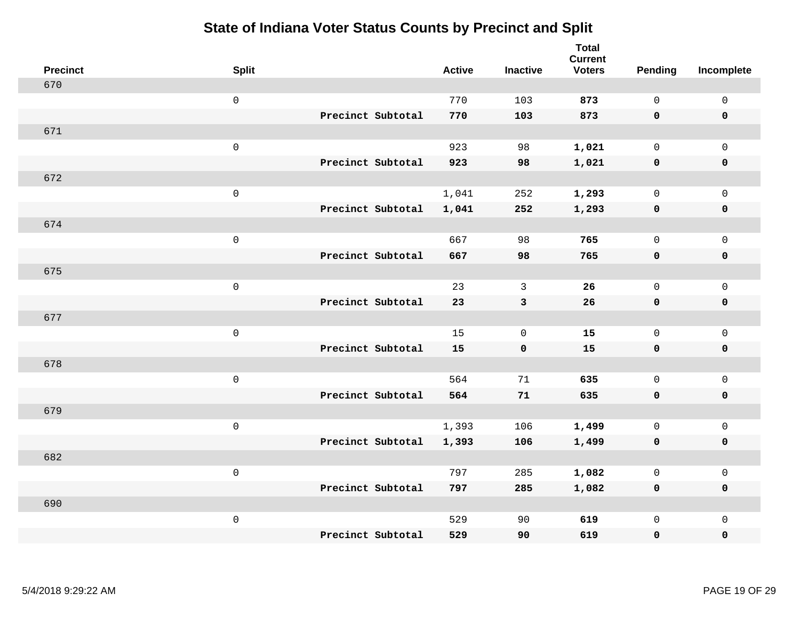| <b>Precinct</b> | <b>Split</b>        |                   | <b>Active</b> | <b>Inactive</b> | <b>Total</b><br><b>Current</b><br><b>Voters</b> | <b>Pending</b> | Incomplete          |
|-----------------|---------------------|-------------------|---------------|-----------------|-------------------------------------------------|----------------|---------------------|
| 670             |                     |                   |               |                 |                                                 |                |                     |
|                 | $\mathsf{O}$        |                   | 770           | 103             | 873                                             | $\mathbf 0$    | $\mathsf 0$         |
|                 |                     | Precinct Subtotal | 770           | 103             | 873                                             | $\mathbf 0$    | $\mathbf 0$         |
| 671             |                     |                   |               |                 |                                                 |                |                     |
|                 | $\mathsf{O}$        |                   | 923           | 98              | 1,021                                           | $\mathbf 0$    | $\mathsf{O}$        |
|                 |                     | Precinct Subtotal | 923           | 98              | 1,021                                           | $\mathbf 0$    | 0                   |
| 672             |                     |                   |               |                 |                                                 |                |                     |
|                 | $\mathsf 0$         |                   | 1,041         | 252             | 1,293                                           | $\mathbf 0$    | $\mathsf{O}\xspace$ |
|                 |                     | Precinct Subtotal | 1,041         | 252             | 1,293                                           | $\mathbf 0$    | $\pmb{0}$           |
| 674             |                     |                   |               |                 |                                                 |                |                     |
|                 | $\mathsf{O}\xspace$ |                   | 667           | 98              | 765                                             | $\mathsf{O}$   | $\mathsf{O}$        |
|                 |                     | Precinct Subtotal | 667           | 98              | 765                                             | 0              | 0                   |
| 675             |                     |                   |               |                 |                                                 |                |                     |
|                 | $\mathbf 0$         |                   | 23            | 3               | 26                                              | $\mathbf 0$    | $\mathsf{O}\xspace$ |
|                 |                     | Precinct Subtotal | 23            | $\mathbf{3}$    | 26                                              | $\mathbf 0$    | 0                   |
| 677             |                     |                   |               |                 |                                                 |                |                     |
|                 | $\mathsf{O}\xspace$ |                   | 15            | $\mathbf 0$     | 15                                              | $\mathbf 0$    | $\mathsf{O}\xspace$ |
|                 |                     | Precinct Subtotal | 15            | $\mathbf 0$     | 15                                              | 0              | 0                   |
| 678             |                     |                   |               |                 |                                                 |                |                     |
|                 | $\mathbf 0$         |                   | 564           | 71              | 635                                             | $\mathsf{O}$   | $\mathsf{O}$        |
|                 |                     | Precinct Subtotal | 564           | 71              | 635                                             | 0              | 0                   |
| 679             |                     |                   |               |                 |                                                 |                |                     |
|                 | $\mathbf 0$         |                   | 1,393         | 106             | 1,499                                           | $\mathsf{O}$   | $\mathsf{O}$        |
|                 |                     | Precinct Subtotal | 1,393         | 106             | 1,499                                           | 0              | 0                   |
| 682             |                     |                   |               |                 |                                                 |                |                     |
|                 | $\mathbf 0$         |                   | 797           | 285             | 1,082                                           | $\mathbf 0$    | $\mathsf{O}$        |
|                 |                     | Precinct Subtotal | 797           | 285             | 1,082                                           | $\mathbf 0$    | 0                   |
| 690             |                     |                   |               |                 |                                                 |                |                     |
|                 | $\mathbf 0$         |                   | 529           | 90              | 619                                             | $\mathsf{O}$   | $\mathsf{O}$        |
|                 |                     | Precinct Subtotal | 529           | 90              | 619                                             | 0              | 0                   |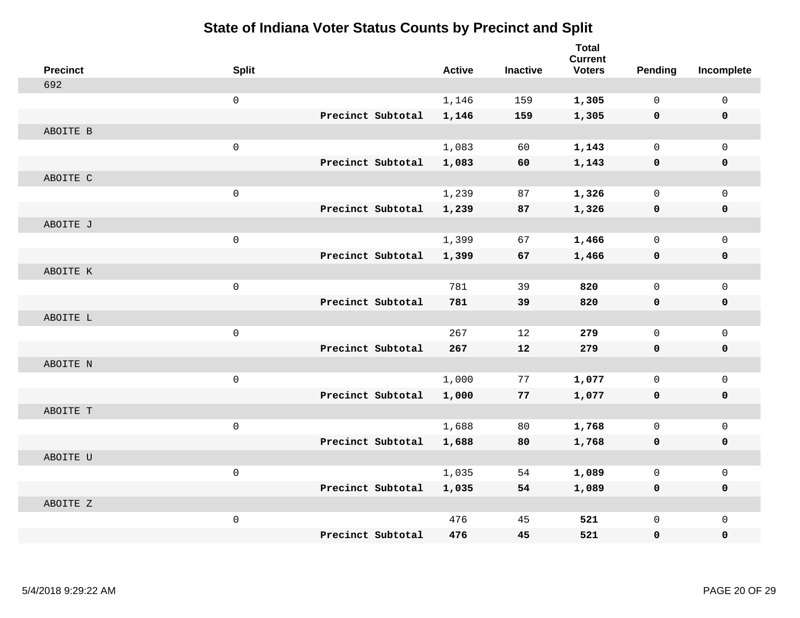| <b>Precinct</b> | <b>Split</b>        |                   | <b>Active</b> | <b>Inactive</b> | <b>Total</b><br><b>Current</b><br><b>Voters</b> | Pending      | Incomplete   |
|-----------------|---------------------|-------------------|---------------|-----------------|-------------------------------------------------|--------------|--------------|
| 692             |                     |                   |               |                 |                                                 |              |              |
|                 | $\mathsf 0$         |                   | 1,146         | 159             | 1,305                                           | 0            | $\mathbf 0$  |
|                 |                     | Precinct Subtotal | 1,146         | 159             | 1,305                                           | $\mathbf 0$  | $\mathbf 0$  |
| ABOITE B        |                     |                   |               |                 |                                                 |              |              |
|                 | $\mathsf{O}\xspace$ |                   | 1,083         | 60              | 1,143                                           | $\mathbf 0$  | $\mathbf 0$  |
|                 |                     | Precinct Subtotal | 1,083         | 60              | 1,143                                           | 0            | $\mathbf 0$  |
| ABOITE C        |                     |                   |               |                 |                                                 |              |              |
|                 | $\mathsf{O}\xspace$ |                   | 1,239         | 87              | 1,326                                           | 0            | $\mathbf 0$  |
|                 |                     | Precinct Subtotal | 1,239         | 87              | 1,326                                           | 0            | $\mathbf 0$  |
| ABOITE J        |                     |                   |               |                 |                                                 |              |              |
|                 | $\mathsf{O}\xspace$ |                   | 1,399         | 67              | 1,466                                           | 0            | $\mathbf 0$  |
|                 |                     | Precinct Subtotal | 1,399         | 67              | 1,466                                           | 0            | $\mathbf 0$  |
| ABOITE K        |                     |                   |               |                 |                                                 |              |              |
|                 | $\mathsf{O}\xspace$ |                   | 781           | 39              | 820                                             | 0            | $\mathbf{0}$ |
|                 |                     | Precinct Subtotal | 781           | 39              | 820                                             | 0            | $\mathbf 0$  |
| ABOITE L        |                     |                   |               |                 |                                                 |              |              |
|                 | $\mathbf 0$         |                   | 267           | 12              | 279                                             | 0            | $\mathbf 0$  |
|                 |                     | Precinct Subtotal | 267           | 12              | 279                                             | $\mathbf 0$  | $\mathbf 0$  |
| ABOITE N        |                     |                   |               |                 |                                                 |              |              |
|                 | $\mathsf 0$         |                   | 1,000         | 77              | 1,077                                           | 0            | $\mathsf{O}$ |
|                 |                     | Precinct Subtotal | 1,000         | 77              | 1,077                                           | $\mathbf 0$  | 0            |
| ABOITE T        |                     |                   |               |                 |                                                 |              |              |
|                 | $\mathsf{O}\xspace$ |                   | 1,688         | 80              | 1,768                                           | $\mathsf{O}$ | $\mathbf 0$  |
|                 |                     | Precinct Subtotal | 1,688         | 80              | 1,768                                           | 0            | $\mathbf 0$  |
| ABOITE U        |                     |                   |               |                 |                                                 |              |              |
|                 | $\mathbf 0$         |                   | 1,035         | 54              | 1,089                                           | 0            | $\mathbf 0$  |
|                 |                     | Precinct Subtotal | 1,035         | 54              | 1,089                                           | 0            | $\mathbf 0$  |
| ABOITE Z        |                     |                   |               |                 |                                                 |              |              |
|                 | $\mathsf{O}\xspace$ |                   | 476           | 45              | 521                                             | 0            | $\mathbf{0}$ |
|                 |                     | Precinct Subtotal | 476           | 45              | 521                                             | 0            | $\mathbf 0$  |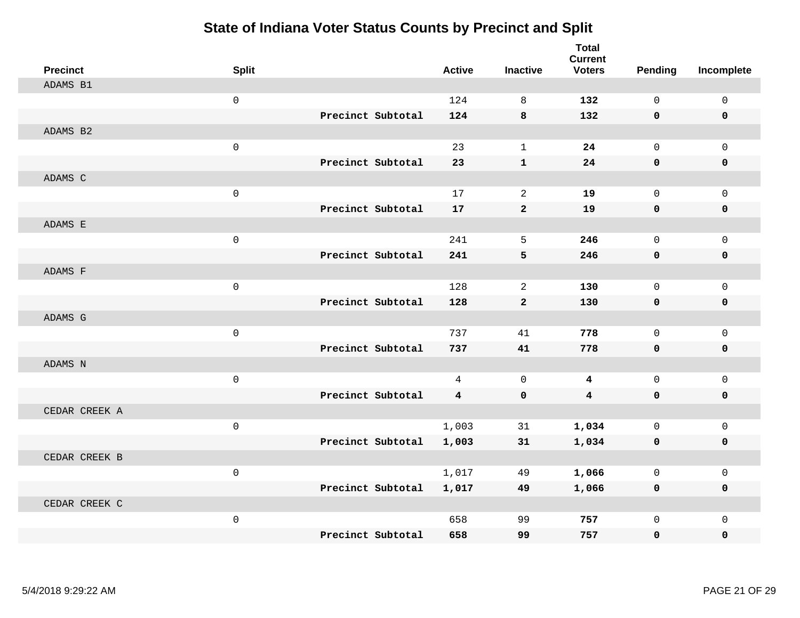| <b>Precinct</b> | <b>Split</b> |                   | <b>Active</b>           | <b>Inactive</b> | <b>Total</b><br><b>Current</b><br><b>Voters</b> | Pending      | Incomplete   |
|-----------------|--------------|-------------------|-------------------------|-----------------|-------------------------------------------------|--------------|--------------|
| ADAMS B1        |              |                   |                         |                 |                                                 |              |              |
|                 | $\mathbf{0}$ |                   | 124                     | 8               | 132                                             | $\Omega$     | $\mathbf 0$  |
|                 |              | Precinct Subtotal | 124                     | 8               | 132                                             | $\mathbf 0$  | $\mathbf 0$  |
| ADAMS B2        |              |                   |                         |                 |                                                 |              |              |
|                 | $\mathsf 0$  |                   | 23                      | $\mathbf{1}$    | 24                                              | $\mathbf 0$  | $\mathbf{0}$ |
|                 |              | Precinct Subtotal | 23                      | $\mathbf{1}$    | 24                                              | $\mathbf{0}$ | 0            |
| ADAMS C         |              |                   |                         |                 |                                                 |              |              |
|                 | $\mathsf 0$  |                   | 17                      | 2               | 19                                              | $\mathbf 0$  | $\mathbf 0$  |
|                 |              | Precinct Subtotal | 17                      | $\overline{2}$  | 19                                              | $\mathbf 0$  | 0            |
| ADAMS E         |              |                   |                         |                 |                                                 |              |              |
|                 | $\mathsf 0$  |                   | 241                     | 5               | 246                                             | $\mathbf 0$  | $\mathbf 0$  |
|                 |              | Precinct Subtotal | 241                     | 5               | 246                                             | $\mathbf 0$  | 0            |
| ADAMS F         |              |                   |                         |                 |                                                 |              |              |
|                 | $\mathbf 0$  |                   | 128                     | 2               | 130                                             | $\Omega$     | $\mathbf 0$  |
|                 |              | Precinct Subtotal | 128                     | $\overline{2}$  | 130                                             | $\mathbf 0$  | 0            |
| ADAMS G         |              |                   |                         |                 |                                                 |              |              |
|                 | $\mathsf 0$  |                   | 737                     | 41              | 778                                             | $\mathbf 0$  | $\mathbf 0$  |
|                 |              | Precinct Subtotal | 737                     | 41              | 778                                             | $\mathbf 0$  | 0            |
| ADAMS N         |              |                   |                         |                 |                                                 |              |              |
|                 | $\mathbf 0$  |                   | $\overline{4}$          | $\mathbf 0$     | 4                                               | $\mathbf 0$  | $\mathbf 0$  |
|                 |              | Precinct Subtotal | $\overline{\mathbf{4}}$ | $\mathbf 0$     | $\overline{4}$                                  | $\mathbf 0$  | 0            |
| CEDAR CREEK A   |              |                   |                         |                 |                                                 |              |              |
|                 | $\mathsf 0$  |                   | 1,003                   | 31              | 1,034                                           | $\mathbf 0$  | $\mathbf 0$  |
|                 |              | Precinct Subtotal | 1,003                   | 31              | 1,034                                           | 0            | 0            |
| CEDAR CREEK B   |              |                   |                         |                 |                                                 |              |              |
|                 | $\mathbf 0$  |                   | 1,017                   | 49              | 1,066                                           | $\mathbf 0$  | $\mathbf 0$  |
|                 |              | Precinct Subtotal | 1,017                   | 49              | 1,066                                           | 0            | 0            |
| CEDAR CREEK C   |              |                   |                         |                 |                                                 |              |              |
|                 | $\mathsf 0$  |                   | 658                     | 99              | 757                                             | $\mathbf 0$  | $\mathbf 0$  |
|                 |              | Precinct Subtotal | 658                     | 99              | 757                                             | $\mathbf 0$  | $\Omega$     |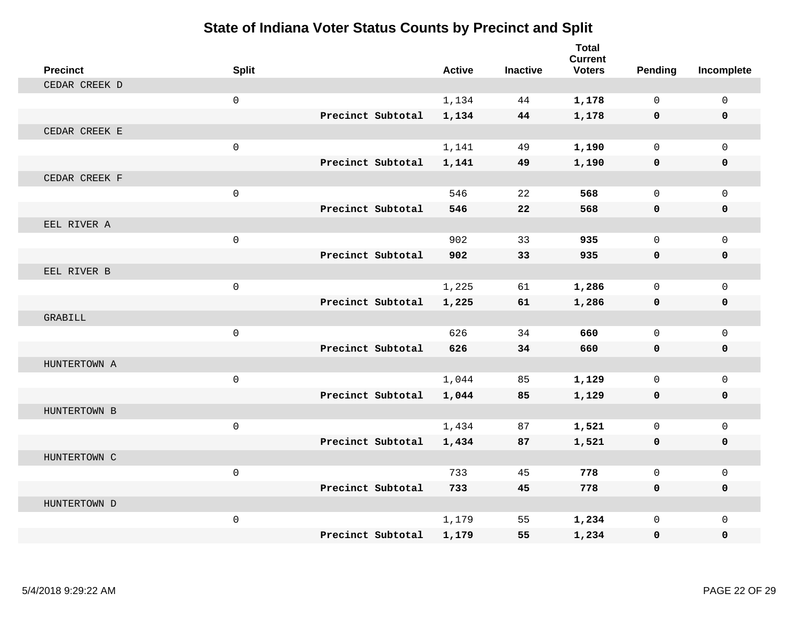| <b>Precinct</b> | <b>Split</b> |                   | <b>Active</b> | <b>Inactive</b> | <b>Total</b><br><b>Current</b><br><b>Voters</b> | Pending      | Incomplete   |
|-----------------|--------------|-------------------|---------------|-----------------|-------------------------------------------------|--------------|--------------|
| CEDAR CREEK D   |              |                   |               |                 |                                                 |              |              |
|                 | $\mathbf 0$  |                   | 1,134         | 44              | 1,178                                           | $\Omega$     | $\mathbf 0$  |
|                 |              | Precinct Subtotal | 1,134         | 44              | 1,178                                           | $\mathbf 0$  | $\mathbf 0$  |
| CEDAR CREEK E   |              |                   |               |                 |                                                 |              |              |
|                 | $\mathsf 0$  |                   | 1,141         | 49              | 1,190                                           | $\mathbf 0$  | $\mathbf 0$  |
|                 |              | Precinct Subtotal | 1,141         | 49              | 1,190                                           | $\mathbf 0$  | 0            |
| CEDAR CREEK F   |              |                   |               |                 |                                                 |              |              |
|                 | $\mathsf 0$  |                   | 546           | 22              | 568                                             | $\mathbf{0}$ | $\mathbf 0$  |
|                 |              | Precinct Subtotal | 546           | 22              | 568                                             | $\mathbf 0$  | 0            |
| EEL RIVER A     |              |                   |               |                 |                                                 |              |              |
|                 | $\mathsf 0$  |                   | 902           | 33              | 935                                             | $\Omega$     | $\mathbf 0$  |
|                 |              | Precinct Subtotal | 902           | 33              | 935                                             | $\mathbf 0$  | 0            |
| EEL RIVER B     |              |                   |               |                 |                                                 |              |              |
|                 | $\mathbf 0$  |                   | 1,225         | 61              | 1,286                                           | $\Omega$     | $\mathbf 0$  |
|                 |              | Precinct Subtotal | 1,225         | 61              | 1,286                                           | 0            | 0            |
| GRABILL         |              |                   |               |                 |                                                 |              |              |
|                 | $\mathsf{O}$ |                   | 626           | 34              | 660                                             | $\mathbf 0$  | $\mathbf{0}$ |
|                 |              | Precinct Subtotal | 626           | 34              | 660                                             | $\mathbf 0$  | 0            |
| HUNTERTOWN A    |              |                   |               |                 |                                                 |              |              |
|                 | $\mathsf{O}$ |                   | 1,044         | 85              | 1,129                                           | $\mathbf 0$  | $\mathbf 0$  |
|                 |              | Precinct Subtotal | 1,044         | 85              | 1,129                                           | 0            | 0            |
| HUNTERTOWN B    |              |                   |               |                 |                                                 |              |              |
|                 | $\mathsf 0$  |                   | 1,434         | 87              | 1,521                                           | $\mathbf 0$  | $\mathbf{0}$ |
|                 |              | Precinct Subtotal | 1,434         | 87              | 1,521                                           | 0            | 0            |
| HUNTERTOWN C    |              |                   |               |                 |                                                 |              |              |
|                 | $\mathbf 0$  |                   | 733           | 45              | 778                                             | $\Omega$     | $\mathbf 0$  |
|                 |              | Precinct Subtotal | 733           | 45              | 778                                             | 0            | 0            |
| HUNTERTOWN D    |              |                   |               |                 |                                                 |              |              |
|                 | $\mathsf{O}$ |                   | 1,179         | 55              | 1,234                                           | $\mathbf 0$  | $\mathbf{0}$ |
|                 |              | Precinct Subtotal | 1,179         | 55              | 1,234                                           | 0            | $\Omega$     |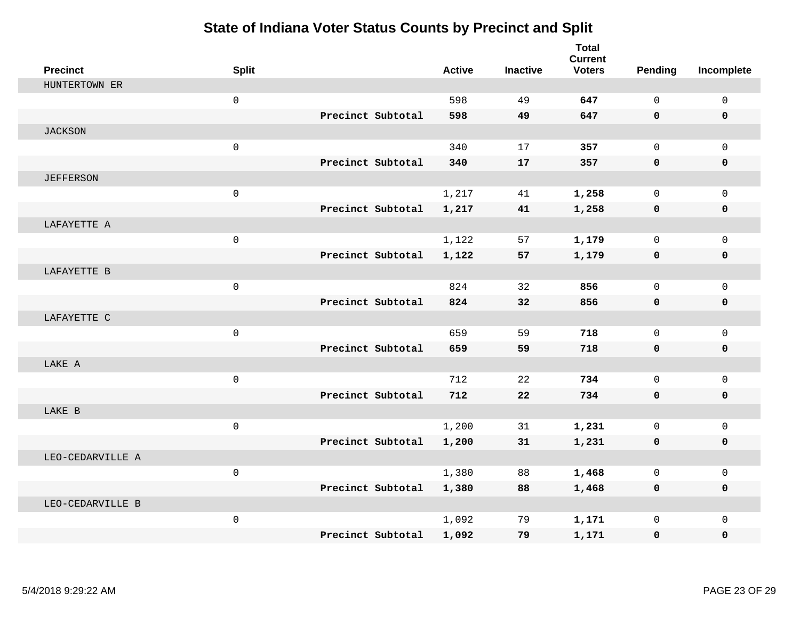| <b>Precinct</b>  | <b>Split</b>        |                   | <b>Active</b> | <b>Inactive</b> | <b>Total</b><br><b>Current</b><br><b>Voters</b> | <b>Pending</b> | Incomplete   |
|------------------|---------------------|-------------------|---------------|-----------------|-------------------------------------------------|----------------|--------------|
| HUNTERTOWN ER    |                     |                   |               |                 |                                                 |                |              |
|                  | $\mathsf{O}\xspace$ |                   | 598           | 49              | 647                                             | $\mathbf 0$    | $\mathsf 0$  |
|                  |                     | Precinct Subtotal | 598           | 49              | 647                                             | $\mathbf{0}$   | 0            |
| <b>JACKSON</b>   |                     |                   |               |                 |                                                 |                |              |
|                  | $\mathsf{O}\xspace$ |                   | 340           | 17              | 357                                             | $\mathbf 0$    | $\Omega$     |
|                  |                     | Precinct Subtotal | 340           | 17              | 357                                             | $\mathbf 0$    | 0            |
| <b>JEFFERSON</b> |                     |                   |               |                 |                                                 |                |              |
|                  | $\mathbf 0$         |                   | 1,217         | 41              | 1,258                                           | $\mathbf 0$    | $\mathbf 0$  |
|                  |                     | Precinct Subtotal | 1,217         | 41              | 1,258                                           | $\mathbf 0$    | 0            |
| LAFAYETTE A      |                     |                   |               |                 |                                                 |                |              |
|                  | $\mathsf{O}\xspace$ |                   | 1,122         | 57              | 1,179                                           | $\mathbf 0$    | $\mathbf{0}$ |
|                  |                     | Precinct Subtotal | 1,122         | 57              | 1,179                                           | 0              | 0            |
| LAFAYETTE B      |                     |                   |               |                 |                                                 |                |              |
|                  | $\mathbf 0$         |                   | 824           | 32              | 856                                             | $\Omega$       | $\Omega$     |
|                  |                     | Precinct Subtotal | 824           | 32              | 856                                             | $\mathbf{0}$   | $\mathbf 0$  |
| LAFAYETTE C      |                     |                   |               |                 |                                                 |                |              |
|                  | $\mathbf 0$         |                   | 659           | 59              | 718                                             | $\mathbf{0}$   | $\mathbf{0}$ |
|                  |                     | Precinct Subtotal | 659           | 59              | 718                                             | $\mathbf 0$    | 0            |
| LAKE A           |                     |                   |               |                 |                                                 |                |              |
|                  | $\mathbf 0$         |                   | 712           | 22              | 734                                             | $\Omega$       | $\mathbf 0$  |
|                  |                     | Precinct Subtotal | 712           | 22              | 734                                             | $\mathbf 0$    | 0            |
| LAKE B           |                     |                   |               |                 |                                                 |                |              |
|                  | $\mathsf{O}\xspace$ |                   | 1,200         | 31              | 1,231                                           | $\mathbf 0$    | $\mathbf{0}$ |
|                  |                     | Precinct Subtotal | 1,200         | 31              | 1,231                                           | 0              | 0            |
| LEO-CEDARVILLE A |                     |                   |               |                 |                                                 |                |              |
|                  | $\mathsf{O}\xspace$ |                   | 1,380         | 88              | 1,468                                           | $\mathbf 0$    | $\mathbf{0}$ |
|                  |                     | Precinct Subtotal | 1,380         | 88              | 1,468                                           | $\mathbf 0$    | 0            |
| LEO-CEDARVILLE B |                     |                   |               |                 |                                                 |                |              |
|                  | $\mathsf{O}\xspace$ |                   | 1,092         | 79              | 1,171                                           | $\mathbf 0$    | $\mathbf{0}$ |
|                  |                     | Precinct Subtotal | 1,092         | 79              | 1,171                                           | 0              | 0            |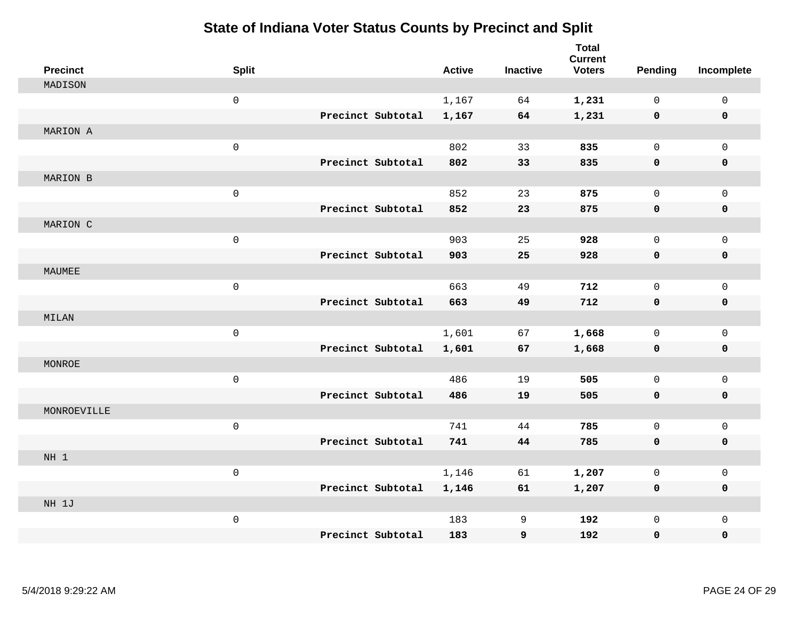| <b>Precinct</b> | <b>Split</b>        |                   | <b>Active</b> | <b>Inactive</b> | <b>Total</b><br><b>Current</b><br><b>Voters</b> | Pending      | Incomplete   |
|-----------------|---------------------|-------------------|---------------|-----------------|-------------------------------------------------|--------------|--------------|
| MADISON         |                     |                   |               |                 |                                                 |              |              |
|                 | $\mathsf{O}\xspace$ |                   | 1,167         | 64              | 1,231                                           | $\mathbf 0$  | $\mathbf{0}$ |
|                 |                     | Precinct Subtotal | 1,167         | 64              | 1,231                                           | $\mathbf 0$  | $\mathbf 0$  |
| MARION A        |                     |                   |               |                 |                                                 |              |              |
|                 | $\mathsf{O}\xspace$ |                   | 802           | 33              | 835                                             | $\mathbf 0$  | $\mathbf{0}$ |
|                 |                     | Precinct Subtotal | 802           | 33              | 835                                             | $\mathbf 0$  | 0            |
| MARION B        |                     |                   |               |                 |                                                 |              |              |
|                 | $\mathsf{O}\xspace$ |                   | 852           | 23              | 875                                             | 0            | $\mathbf 0$  |
|                 |                     | Precinct Subtotal | 852           | 23              | 875                                             | $\mathbf 0$  | 0            |
| MARION C        |                     |                   |               |                 |                                                 |              |              |
|                 | $\mathsf{O}\xspace$ |                   | 903           | 25              | 928                                             | $\mathsf{O}$ | $\mathbf 0$  |
|                 |                     | Precinct Subtotal | 903           | 25              | 928                                             | $\mathbf 0$  | 0            |
| MAUMEE          |                     |                   |               |                 |                                                 |              |              |
|                 | $\mathsf{O}\xspace$ |                   | 663           | 49              | 712                                             | $\mathbf 0$  | $\mathbf 0$  |
|                 |                     | Precinct Subtotal | 663           | 49              | 712                                             | 0            | 0            |
| MILAN           |                     |                   |               |                 |                                                 |              |              |
|                 | $\mathsf{O}\xspace$ |                   | 1,601         | 67              | 1,668                                           | $\mathbf 0$  | $\mathbf 0$  |
|                 |                     | Precinct Subtotal | 1,601         | 67              | 1,668                                           | 0            | 0            |
| MONROE          |                     |                   |               |                 |                                                 |              |              |
|                 | $\mathsf 0$         |                   | 486           | 19              | 505                                             | $\mathbf 0$  | $\mathbf 0$  |
|                 |                     | Precinct Subtotal | 486           | 19              | 505                                             | 0            | 0            |
| MONROEVILLE     |                     |                   |               |                 |                                                 |              |              |
|                 | $\mathbf 0$         |                   | 741           | 44              | 785                                             | $\mathbf 0$  | $\mathbf 0$  |
|                 |                     | Precinct Subtotal | 741           | 44              | 785                                             | $\mathbf 0$  | 0            |
| NH 1            |                     |                   |               |                 |                                                 |              |              |
|                 | $\mathsf 0$         |                   | 1,146         | 61              | 1,207                                           | 0            | $\mathbf 0$  |
|                 |                     | Precinct Subtotal | 1,146         | 61              | 1,207                                           | 0            | 0            |
| NH 1J           |                     |                   |               |                 |                                                 |              |              |
|                 | $\mathsf 0$         |                   | 183           | 9               | 192                                             | $\mathsf{O}$ | $\mathbf 0$  |
|                 |                     | Precinct Subtotal | 183           | 9               | 192                                             | 0            | 0            |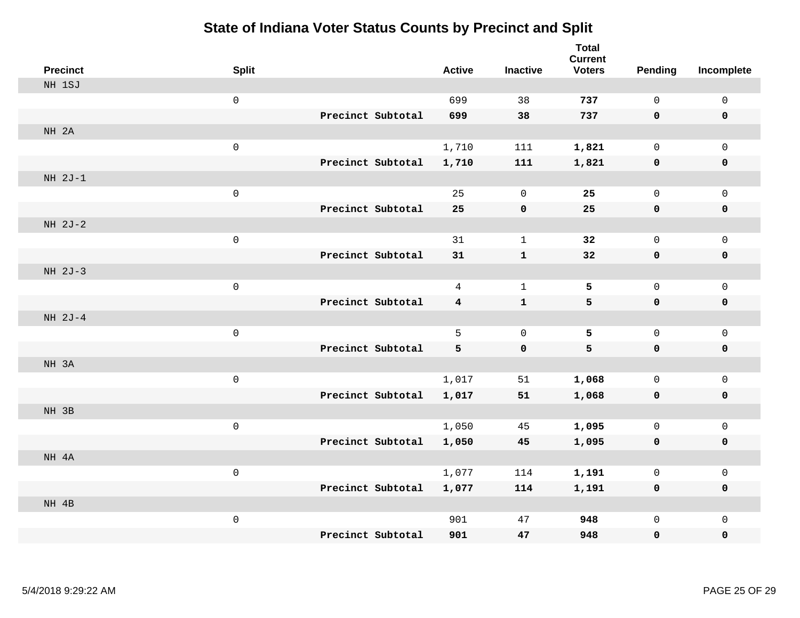| <b>Precinct</b> | <b>Split</b>        |                   | <b>Active</b>  | <b>Inactive</b> | <b>Total</b><br><b>Current</b><br><b>Voters</b> | <b>Pending</b> | Incomplete   |
|-----------------|---------------------|-------------------|----------------|-----------------|-------------------------------------------------|----------------|--------------|
| NH 1SJ          |                     |                   |                |                 |                                                 |                |              |
|                 | $\mathsf{O}\xspace$ |                   | 699            | 38              | 737                                             | $\mathsf{O}$   | $\mathsf 0$  |
|                 |                     | Precinct Subtotal | 699            | 38              | 737                                             | $\mathbf 0$    | $\mathbf 0$  |
| NH 2A           |                     |                   |                |                 |                                                 |                |              |
|                 | $\mathsf{O}\xspace$ |                   | 1,710          | 111             | 1,821                                           | $\mathsf{O}$   | $\mathbf 0$  |
|                 |                     | Precinct Subtotal | 1,710          | 111             | 1,821                                           | $\mathbf 0$    | $\mathbf 0$  |
| $NH 2J-1$       |                     |                   |                |                 |                                                 |                |              |
|                 | $\mathsf{O}\xspace$ |                   | 25             | $\mathbf 0$     | 25                                              | 0              | $\mathbf 0$  |
|                 |                     | Precinct Subtotal | 25             | $\mathbf 0$     | 25                                              | 0              | $\mathbf 0$  |
| $NH 2J-2$       |                     |                   |                |                 |                                                 |                |              |
|                 | $\mathsf{O}\xspace$ |                   | 31             | $\mathbf{1}$    | 32                                              | 0              | $\mathsf{O}$ |
|                 |                     | Precinct Subtotal | 31             | $\mathbf{1}$    | 32                                              | $\mathbf 0$    | $\pmb{0}$    |
| NH 2J-3         |                     |                   |                |                 |                                                 |                |              |
|                 | $\mathsf{O}\xspace$ |                   | $\overline{4}$ | $\mathbf{1}$    | 5                                               | 0              | $\mathbf 0$  |
|                 |                     | Precinct Subtotal | 4              | $\mathbf{1}$    | 5                                               | 0              | $\mathbf 0$  |
| NH 2J-4         |                     |                   |                |                 |                                                 |                |              |
|                 | $\mathsf{O}\xspace$ |                   | 5              | $\mathbf 0$     | 5                                               | 0              | $\mathbf 0$  |
|                 |                     | Precinct Subtotal | 5              | 0               | 5                                               | $\mathbf 0$    | $\mathbf 0$  |
| NH 3A           |                     |                   |                |                 |                                                 |                |              |
|                 | $\mathsf{O}\xspace$ |                   | 1,017          | 51              | 1,068                                           | 0              | $\mathsf{O}$ |
|                 |                     | Precinct Subtotal | 1,017          | 51              | 1,068                                           | $\mathbf 0$    | 0            |
| NH 3B           |                     |                   |                |                 |                                                 |                |              |
|                 | $\mathsf{O}\xspace$ |                   | 1,050          | 45              | 1,095                                           | 0              | $\mathsf{O}$ |
|                 |                     | Precinct Subtotal | 1,050          | 45              | 1,095                                           | 0              | $\mathbf 0$  |
| NH 4A           |                     |                   |                |                 |                                                 |                |              |
|                 | $\mathbf 0$         |                   | 1,077          | 114             | 1,191                                           | 0              | $\mathsf{O}$ |
|                 |                     | Precinct Subtotal | 1,077          | 114             | 1,191                                           | 0              | $\mathbf 0$  |
| NH 4B           |                     |                   |                |                 |                                                 |                |              |
|                 | $\mathsf{O}\xspace$ |                   | 901            | 47              | 948                                             | 0              | $\mathsf{O}$ |
|                 |                     | Precinct Subtotal | 901            | 47              | 948                                             | 0              | $\mathbf 0$  |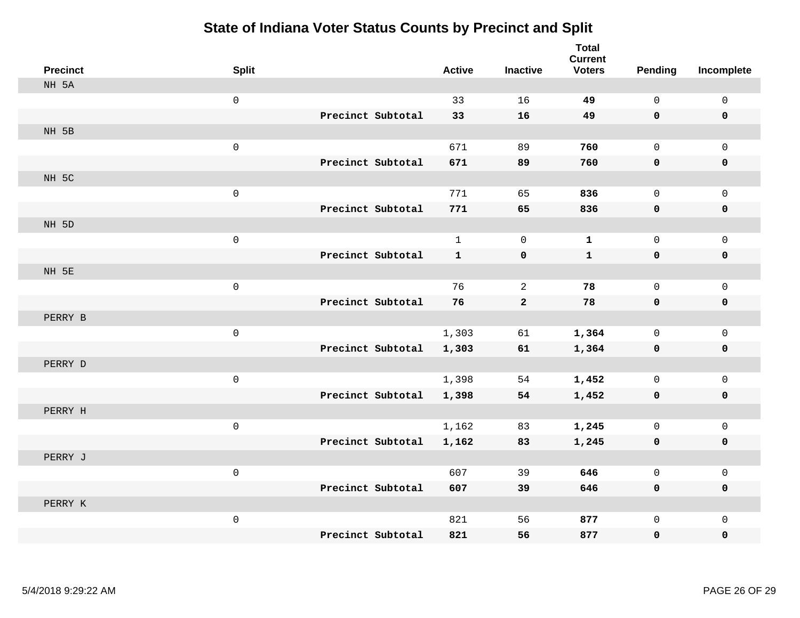| <b>Precinct</b> | <b>Split</b>        |                   | <b>Active</b> | <b>Inactive</b> | <b>Total</b><br><b>Current</b><br><b>Voters</b> | <b>Pending</b> | Incomplete   |
|-----------------|---------------------|-------------------|---------------|-----------------|-------------------------------------------------|----------------|--------------|
| NH 5A           |                     |                   |               |                 |                                                 |                |              |
|                 | $\mathsf{O}\xspace$ |                   | 33            | 16              | 49                                              | 0              | $\mathsf 0$  |
|                 |                     | Precinct Subtotal | 33            | 16              | 49                                              | $\mathbf 0$    | $\mathbf 0$  |
| NH 5B           |                     |                   |               |                 |                                                 |                |              |
|                 | $\mathsf{O}\xspace$ |                   | 671           | 89              | 760                                             | 0              | $\mathbf 0$  |
|                 |                     | Precinct Subtotal | 671           | 89              | 760                                             | $\mathbf 0$    | $\pmb{0}$    |
| NH 5C           |                     |                   |               |                 |                                                 |                |              |
|                 | $\mathsf 0$         |                   | 771           | 65              | 836                                             | 0              | $\mathbf 0$  |
|                 |                     | Precinct Subtotal | 771           | 65              | 836                                             | $\mathbf 0$    | $\mathbf 0$  |
| NH 5D           |                     |                   |               |                 |                                                 |                |              |
|                 | $\mathsf 0$         |                   | $\mathbf{1}$  | $\mathbf 0$     | $\mathbf{1}$                                    | 0              | $\mathbf 0$  |
|                 |                     | Precinct Subtotal | $\mathbf{1}$  | $\pmb{0}$       | $\mathbf 1$                                     | $\mathbf 0$    | $\mathbf 0$  |
| NH 5E           |                     |                   |               |                 |                                                 |                |              |
|                 | $\mathsf{O}\xspace$ |                   | 76            | 2               | 78                                              | 0              | $\mathbf 0$  |
|                 |                     | Precinct Subtotal | 76            | $\overline{2}$  | 78                                              | $\mathbf 0$    | $\mathbf 0$  |
| PERRY B         |                     |                   |               |                 |                                                 |                |              |
|                 | $\mathsf{O}\xspace$ |                   | 1,303         | 61              | 1,364                                           | 0              | $\mathbf 0$  |
|                 |                     | Precinct Subtotal | 1,303         | 61              | 1,364                                           | 0              | $\mathbf 0$  |
| PERRY D         |                     |                   |               |                 |                                                 |                |              |
|                 | $\mathsf{O}\xspace$ |                   | 1,398         | 54              | 1,452                                           | 0              | $\mathbf 0$  |
|                 |                     | Precinct Subtotal | 1,398         | 54              | 1,452                                           | $\mathbf 0$    | $\mathbf 0$  |
| PERRY H         |                     |                   |               |                 |                                                 |                |              |
|                 | $\mathsf{O}\xspace$ |                   | 1,162         | 83              | 1,245                                           | 0              | $\mathsf{O}$ |
|                 |                     | Precinct Subtotal | 1,162         | 83              | 1,245                                           | 0              | 0            |
| PERRY J         |                     |                   |               |                 |                                                 |                |              |
|                 | $\mathsf{O}\xspace$ |                   | 607           | 39              | 646                                             | 0              | $\mathsf{O}$ |
|                 |                     | Precinct Subtotal | 607           | 39              | 646                                             | 0              | $\mathbf 0$  |
| PERRY K         |                     |                   |               |                 |                                                 |                |              |
|                 | $\mathsf{O}\xspace$ |                   | 821           | 56              | 877                                             | 0              | $\mathbf 0$  |
|                 |                     | Precinct Subtotal | 821           | 56              | 877                                             | 0              | $\mathbf 0$  |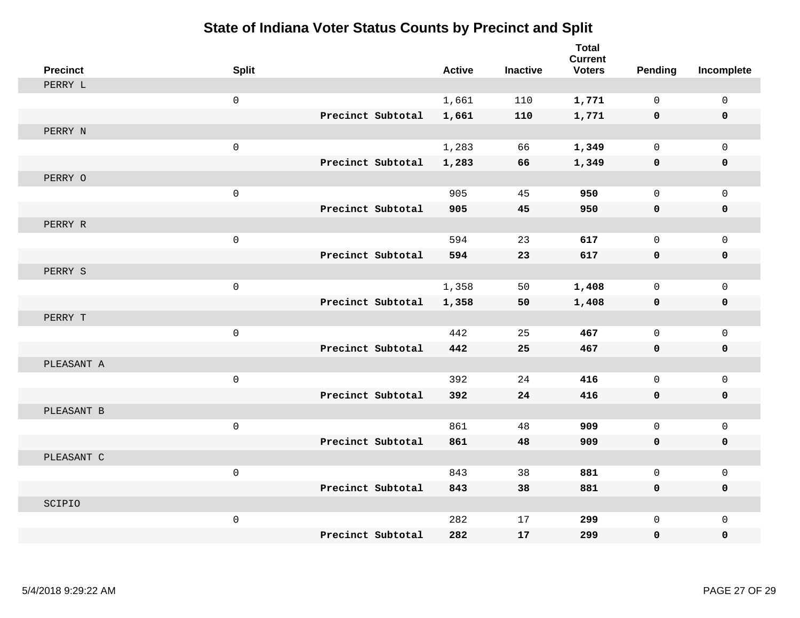| <b>Precinct</b> | <b>Split</b> |                   |                   | <b>Active</b> | <b>Inactive</b> | <b>Total</b><br><b>Current</b><br><b>Voters</b> | <b>Pending</b> | Incomplete   |
|-----------------|--------------|-------------------|-------------------|---------------|-----------------|-------------------------------------------------|----------------|--------------|
| PERRY L         |              |                   |                   |               |                 |                                                 |                |              |
|                 | $\mathsf{O}$ |                   |                   | 1,661         | 110             | 1,771                                           | 0              | $\mathbf 0$  |
|                 |              |                   | Precinct Subtotal | 1,661         | 110             | 1,771                                           | $\mathbf 0$    | $\mathbf 0$  |
| PERRY N         |              |                   |                   |               |                 |                                                 |                |              |
|                 | $\mathsf{O}$ |                   |                   | 1,283         | 66              | 1,349                                           | $\mathbf{0}$   | $\mathbf 0$  |
|                 |              |                   | Precinct Subtotal | 1,283         | 66              | 1,349                                           | $\mathbf 0$    | $\mathbf 0$  |
| PERRY O         |              |                   |                   |               |                 |                                                 |                |              |
|                 | $\mathsf{O}$ |                   |                   | 905           | 45              | 950                                             | $\Omega$       | $\mathbf 0$  |
|                 |              |                   | Precinct Subtotal | 905           | 45              | 950                                             | 0              | $\mathbf 0$  |
| PERRY R         |              |                   |                   |               |                 |                                                 |                |              |
|                 | $\mathsf{O}$ |                   |                   | 594           | 23              | 617                                             | 0              | $\mathbf 0$  |
|                 |              |                   | Precinct Subtotal | 594           | 23              | 617                                             | $\mathbf 0$    | $\mathbf 0$  |
| PERRY S         |              |                   |                   |               |                 |                                                 |                |              |
|                 | $\mathsf{O}$ |                   |                   | 1,358         | 50              | 1,408                                           | 0              | $\mathbf 0$  |
|                 |              |                   | Precinct Subtotal | 1,358         | 50              | 1,408                                           | 0              | $\mathbf 0$  |
| PERRY T         |              |                   |                   |               |                 |                                                 |                |              |
|                 | $\mathsf{O}$ |                   |                   | 442           | 25              | 467                                             | $\mathbf 0$    | $\mathbf 0$  |
|                 |              |                   | Precinct Subtotal | 442           | 25              | 467                                             | $\mathbf 0$    | $\mathbf 0$  |
| PLEASANT A      |              |                   |                   |               |                 |                                                 |                |              |
|                 | $\mathsf{O}$ |                   |                   | 392           | 24              | 416                                             | $\mathsf{O}$   | $\mathsf{O}$ |
|                 |              | Precinct Subtotal |                   | 392           | 24              | 416                                             | 0              | $\mathbf 0$  |
| PLEASANT B      |              |                   |                   |               |                 |                                                 |                |              |
|                 | $\mathsf{O}$ |                   |                   | 861           | 48              | 909                                             | 0              | $\mathbf 0$  |
|                 |              |                   | Precinct Subtotal | 861           | 48              | 909                                             | 0              | $\mathbf 0$  |
| PLEASANT C      |              |                   |                   |               |                 |                                                 |                |              |
|                 | $\mathbf 0$  |                   |                   | 843           | 38              | 881                                             | 0              | $\mathbf 0$  |
|                 |              |                   | Precinct Subtotal | 843           | 38              | 881                                             | 0              | $\mathbf 0$  |
| SCIPIO          |              |                   |                   |               |                 |                                                 |                |              |
|                 | $\mathsf{O}$ |                   |                   | 282           | 17              | 299                                             | 0              | $\mathbf 0$  |
|                 |              |                   | Precinct Subtotal | 282           | 17              | 299                                             | 0              | $\mathbf 0$  |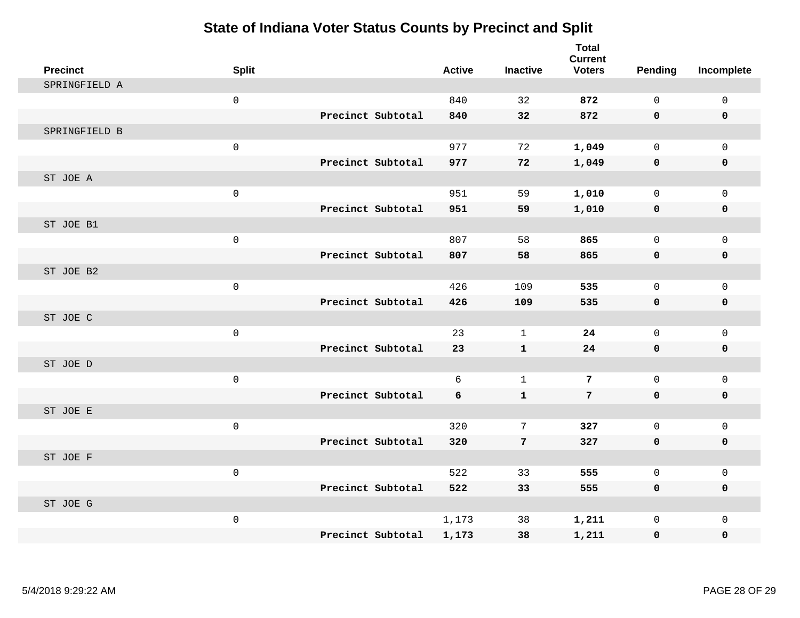| <b>Precinct</b> | <b>Split</b> |                   | <b>Active</b> | <b>Inactive</b> | <b>Total</b><br><b>Current</b><br><b>Voters</b> | <b>Pending</b> | Incomplete   |
|-----------------|--------------|-------------------|---------------|-----------------|-------------------------------------------------|----------------|--------------|
| SPRINGFIELD A   |              |                   |               |                 |                                                 |                |              |
|                 | $\mathsf 0$  |                   | 840           | 32              | 872                                             | 0              | $\mathsf{O}$ |
|                 |              | Precinct Subtotal | 840           | 32              | 872                                             | 0              | $\mathbf 0$  |
| SPRINGFIELD B   |              |                   |               |                 |                                                 |                |              |
|                 | $\mathsf 0$  |                   | 977           | 72              | 1,049                                           | $\mathbf 0$    | $\mathbf{0}$ |
|                 |              | Precinct Subtotal | 977           | 72              | 1,049                                           | 0              | 0            |
| ST JOE A        |              |                   |               |                 |                                                 |                |              |
|                 | $\mathsf 0$  |                   | 951           | 59              | 1,010                                           | $\mathbf 0$    | $\mathsf{O}$ |
|                 |              | Precinct Subtotal | 951           | 59              | 1,010                                           | 0              | $\mathbf 0$  |
| ST JOE B1       |              |                   |               |                 |                                                 |                |              |
|                 | $\mathsf 0$  |                   | 807           | 58              | 865                                             | $\mathbf 0$    | $\mathbf{0}$ |
|                 |              | Precinct Subtotal | 807           | 58              | 865                                             | 0              | 0            |
| ST JOE B2       |              |                   |               |                 |                                                 |                |              |
|                 | $\mathsf{O}$ |                   | 426           | 109             | 535                                             | $\mathbf 0$    | $\mathbf 0$  |
|                 |              | Precinct Subtotal | 426           | 109             | 535                                             | 0              | 0            |
| ST JOE C        |              |                   |               |                 |                                                 |                |              |
|                 | $\mathsf{O}$ |                   | 23            | $\mathbf{1}$    | 24                                              | $\Omega$       | $\mathbf{0}$ |
|                 |              | Precinct Subtotal | 23            | $\mathbf{1}$    | 24                                              | 0              | $\pmb{0}$    |
| ST JOE D        |              |                   |               |                 |                                                 |                |              |
|                 | $\mathsf{O}$ |                   | 6             | $\mathbf{1}$    | $7\phantom{.0}$                                 | $\mathbf 0$    | $\mathsf{O}$ |
|                 |              | Precinct Subtotal | 6             | $\mathbf{1}$    | $7\phantom{.}$                                  | 0              | 0            |
| ST JOE E        |              |                   |               |                 |                                                 |                |              |
|                 | $\mathsf{O}$ |                   | 320           | 7               | 327                                             | $\mathbf 0$    | $\mathbf{0}$ |
|                 |              | Precinct Subtotal | 320           | $\overline{7}$  | 327                                             | 0              | 0            |
| ST JOE F        |              |                   |               |                 |                                                 |                |              |
|                 | $\mathbf 0$  |                   | 522           | 33              | 555                                             | $\mathbf 0$    | $\mathbf 0$  |
|                 |              | Precinct Subtotal | 522           | 33              | 555                                             | 0              | 0            |
| ST JOE G        |              |                   |               |                 |                                                 |                |              |
|                 | $\mathsf{O}$ |                   | 1,173         | 38              | 1,211                                           | 0              | $\mathsf{O}$ |
|                 |              | Precinct Subtotal | 1,173         | 38              | 1,211                                           | 0              | 0            |